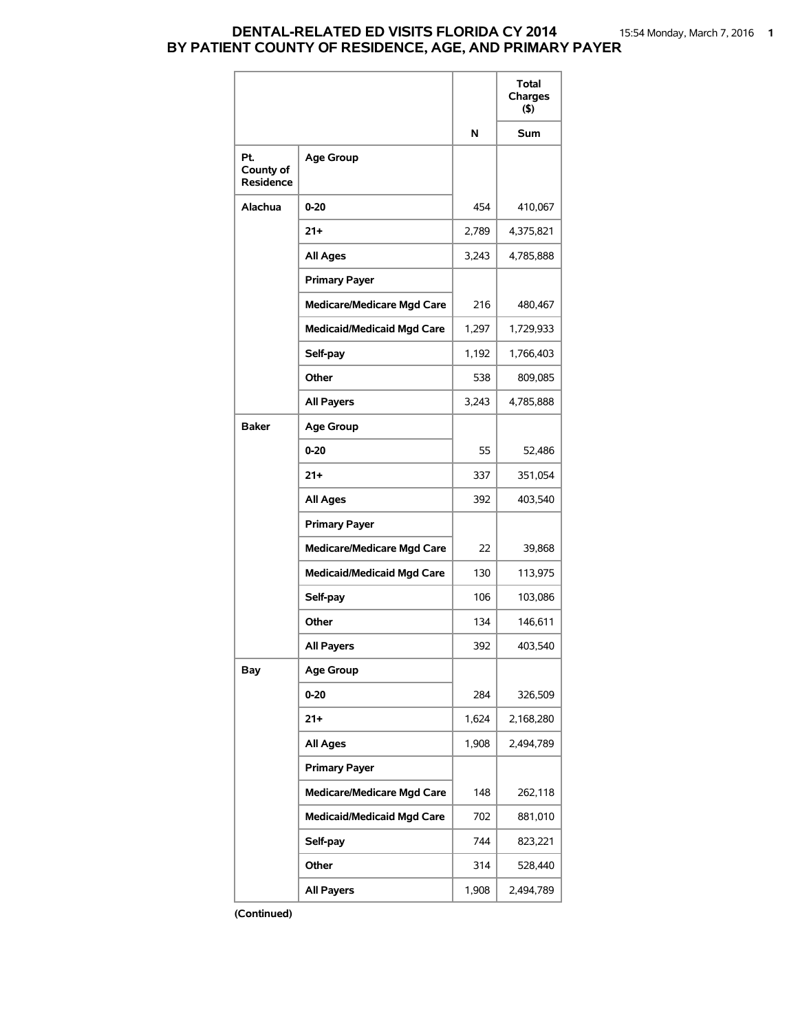## **DENTAL-RELATED ED VISITS FLORIDA CY 2014** 15:54 Monday, March 7, 2016 **1 BY PATIENT COUNTY OF RESIDENCE, AGE, AND PRIMARY PAYER**

|                                      |                                   |       | Total<br>Charges<br>$($ \$) |
|--------------------------------------|-----------------------------------|-------|-----------------------------|
|                                      |                                   | N     | <b>Sum</b>                  |
| Pt.<br>County of<br><b>Residence</b> | <b>Age Group</b>                  |       |                             |
| Alachua                              | $0 - 20$                          | 454   | 410,067                     |
|                                      | $21 +$                            | 2,789 | 4,375,821                   |
|                                      | <b>All Ages</b>                   | 3,243 | 4,785,888                   |
|                                      | <b>Primary Payer</b>              |       |                             |
|                                      | <b>Medicare/Medicare Mgd Care</b> | 216   | 480,467                     |
|                                      | <b>Medicaid/Medicaid Mgd Care</b> | 1,297 | 1,729,933                   |
|                                      | Self-pay                          | 1,192 | 1,766,403                   |
|                                      | Other                             | 538   | 809,085                     |
|                                      | <b>All Payers</b>                 | 3,243 | 4,785,888                   |
| <b>Baker</b>                         | <b>Age Group</b>                  |       |                             |
|                                      | $0 - 20$                          | 55    | 52,486                      |
|                                      | $21 +$                            | 337   | 351,054                     |
|                                      | <b>All Ages</b>                   | 392   | 403,540                     |
|                                      | <b>Primary Payer</b>              |       |                             |
|                                      | <b>Medicare/Medicare Mgd Care</b> | 22    | 39,868                      |
|                                      | <b>Medicaid/Medicaid Mgd Care</b> | 130   | 113,975                     |
|                                      | Self-pay                          | 106   | 103,086                     |
|                                      | Other                             | 134   | 146,611                     |
|                                      | <b>All Payers</b>                 | 392   | 403,540                     |
| Bay                                  | <b>Age Group</b>                  |       |                             |
|                                      | $0 - 20$                          | 284   | 326,509                     |
|                                      | $21+$                             | 1,624 | 2,168,280                   |
|                                      | <b>All Ages</b>                   | 1,908 | 2,494,789                   |
|                                      | <b>Primary Payer</b>              |       |                             |
|                                      | <b>Medicare/Medicare Mgd Care</b> | 148   | 262,118                     |
|                                      | <b>Medicaid/Medicaid Mgd Care</b> | 702   | 881,010                     |
|                                      | Self-pay                          | 744   | 823,221                     |
|                                      | Other                             | 314   | 528,440                     |
|                                      | All Payers                        | 1,908 | 2,494,789                   |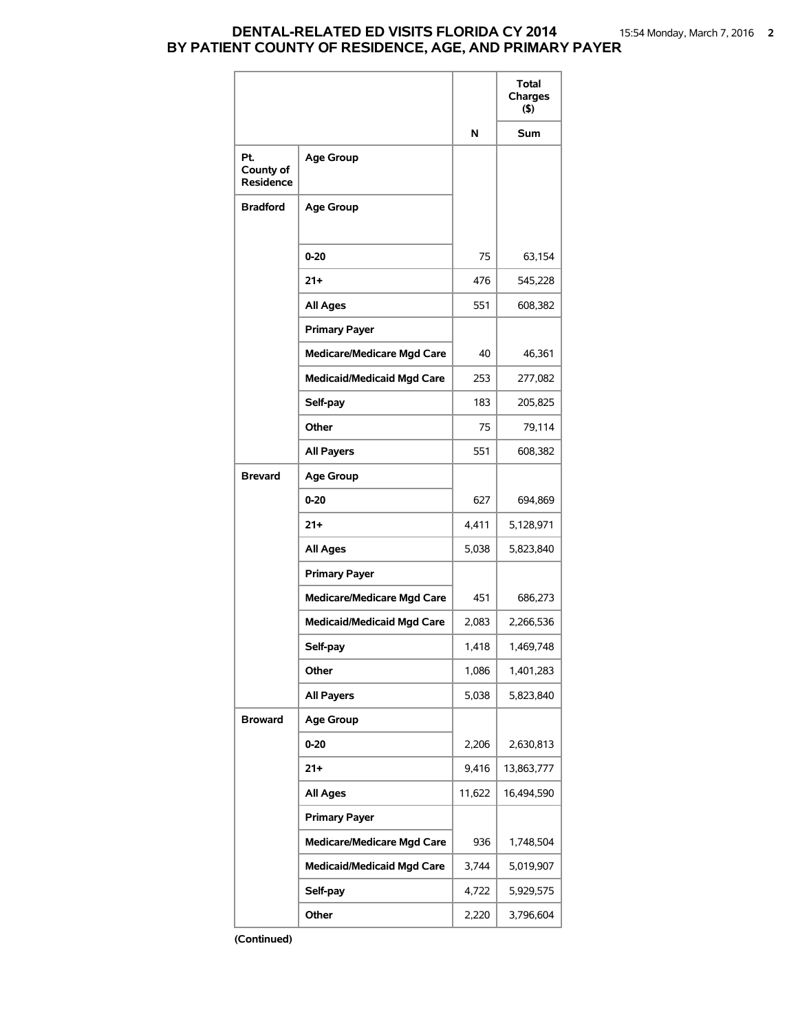## **DENTAL-RELATED ED VISITS FLORIDA CY 2014** 15:54 Monday, March 7, 2016 **2 BY PATIENT COUNTY OF RESIDENCE, AGE, AND PRIMARY PAYER**

|                                      |                                   |        | Total<br>Charges<br>$($ \$) |
|--------------------------------------|-----------------------------------|--------|-----------------------------|
|                                      |                                   | N      | Sum                         |
| Pt.<br>County of<br><b>Residence</b> | <b>Age Group</b>                  |        |                             |
| <b>Bradford</b>                      | <b>Age Group</b>                  |        |                             |
|                                      | $0 - 20$                          | 75     | 63,154                      |
|                                      | $21+$                             | 476    | 545,228                     |
|                                      | <b>All Ages</b>                   | 551    | 608,382                     |
|                                      | <b>Primary Payer</b>              |        |                             |
|                                      | <b>Medicare/Medicare Mgd Care</b> | 40     | 46,361                      |
|                                      | <b>Medicaid/Medicaid Mgd Care</b> | 253    | 277,082                     |
|                                      | Self-pay                          | 183    | 205,825                     |
|                                      | Other                             | 75     | 79,114                      |
|                                      | <b>All Payers</b>                 | 551    | 608,382                     |
| <b>Brevard</b>                       | <b>Age Group</b>                  |        |                             |
|                                      | $0 - 20$                          | 627    | 694,869                     |
|                                      | $21+$                             | 4,411  | 5,128,971                   |
|                                      | <b>All Ages</b>                   | 5,038  | 5,823,840                   |
|                                      | <b>Primary Payer</b>              |        |                             |
|                                      | <b>Medicare/Medicare Mgd Care</b> | 451    | 686,273                     |
|                                      | <b>Medicaid/Medicaid Mgd Care</b> | 2,083  | 2,266,536                   |
|                                      | Self-pay                          | 1,418  | 1,469,748                   |
|                                      | Other                             | 1,086  | 1,401,283                   |
|                                      | <b>All Payers</b>                 | 5,038  | 5,823,840                   |
| <b>Broward</b>                       | <b>Age Group</b>                  |        |                             |
|                                      | 0-20                              | 2,206  | 2,630,813                   |
|                                      | 21+                               | 9,416  | 13,863,777                  |
|                                      | <b>All Ages</b>                   | 11,622 | 16,494,590                  |
|                                      | <b>Primary Payer</b>              |        |                             |
|                                      | <b>Medicare/Medicare Mgd Care</b> | 936    | 1,748,504                   |
|                                      | <b>Medicaid/Medicaid Mgd Care</b> | 3,744  | 5,019,907                   |
|                                      | Self-pay                          | 4,722  | 5,929,575                   |
|                                      | Other                             | 2,220  | 3,796,604                   |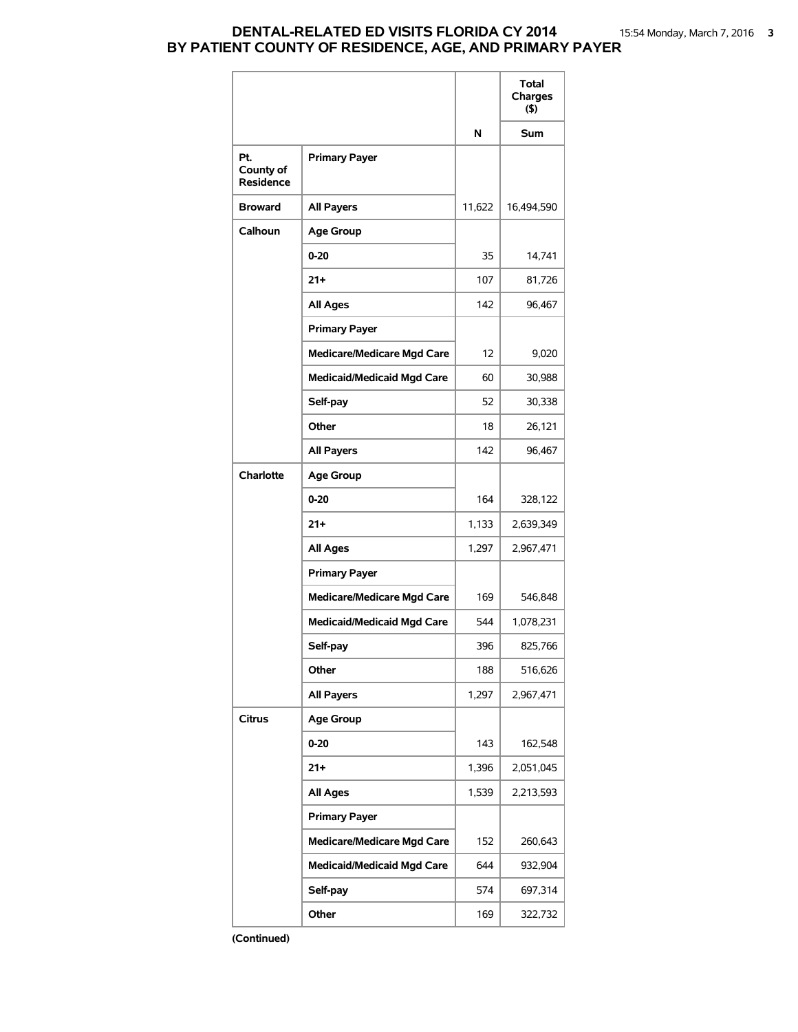### **DENTAL-RELATED ED VISITS FLORIDA CY 2014** 15:54 Monday, March 7, 2016 **3 BY PATIENT COUNTY OF RESIDENCE, AGE, AND PRIMARY PAYER**

|                               |                                   |        | Total<br>Charges<br>(5) |
|-------------------------------|-----------------------------------|--------|-------------------------|
|                               |                                   | N      | Sum                     |
| Pt.<br>County of<br>Residence | <b>Primary Payer</b>              |        |                         |
| <b>Broward</b>                | <b>All Payers</b>                 | 11,622 | 16,494,590              |
| Calhoun                       | <b>Age Group</b>                  |        |                         |
|                               | $0 - 20$                          | 35     | 14,741                  |
|                               | 21+                               | 107    | 81,726                  |
|                               | <b>All Ages</b>                   | 142    | 96,467                  |
|                               | <b>Primary Payer</b>              |        |                         |
|                               | <b>Medicare/Medicare Mgd Care</b> | 12     | 9,020                   |
|                               | <b>Medicaid/Medicaid Mgd Care</b> | 60     | 30,988                  |
|                               | Self-pay                          | 52     | 30,338                  |
|                               | Other                             | 18     | 26,121                  |
|                               | <b>All Payers</b>                 | 142    | 96,467                  |
| Charlotte                     | <b>Age Group</b>                  |        |                         |
|                               | 0-20                              | 164    | 328,122                 |
|                               | 21+                               | 1,133  | 2,639,349               |
|                               | <b>All Ages</b>                   | 1,297  | 2,967,471               |
|                               | <b>Primary Payer</b>              |        |                         |
|                               | <b>Medicare/Medicare Mgd Care</b> | 169    | 546,848                 |
|                               | <b>Medicaid/Medicaid Mgd Care</b> | 544    | 1,078,231               |
|                               | Self-pay                          | 396    | 825,766                 |
|                               | Other                             | 188    | 516,626                 |
|                               | <b>All Payers</b>                 | 1,297  | 2,967,471               |
| <b>Citrus</b>                 | <b>Age Group</b>                  |        |                         |
|                               | $0 - 20$                          | 143    | 162,548                 |
|                               | 21+                               | 1,396  | 2,051,045               |
|                               | <b>All Ages</b>                   | 1,539  | 2,213,593               |
|                               | <b>Primary Payer</b>              |        |                         |
|                               | <b>Medicare/Medicare Mgd Care</b> | 152    | 260,643                 |
|                               | <b>Medicaid/Medicaid Mgd Care</b> | 644    | 932,904                 |
|                               | Self-pay                          | 574    | 697,314                 |
|                               | Other                             | 169    | 322,732                 |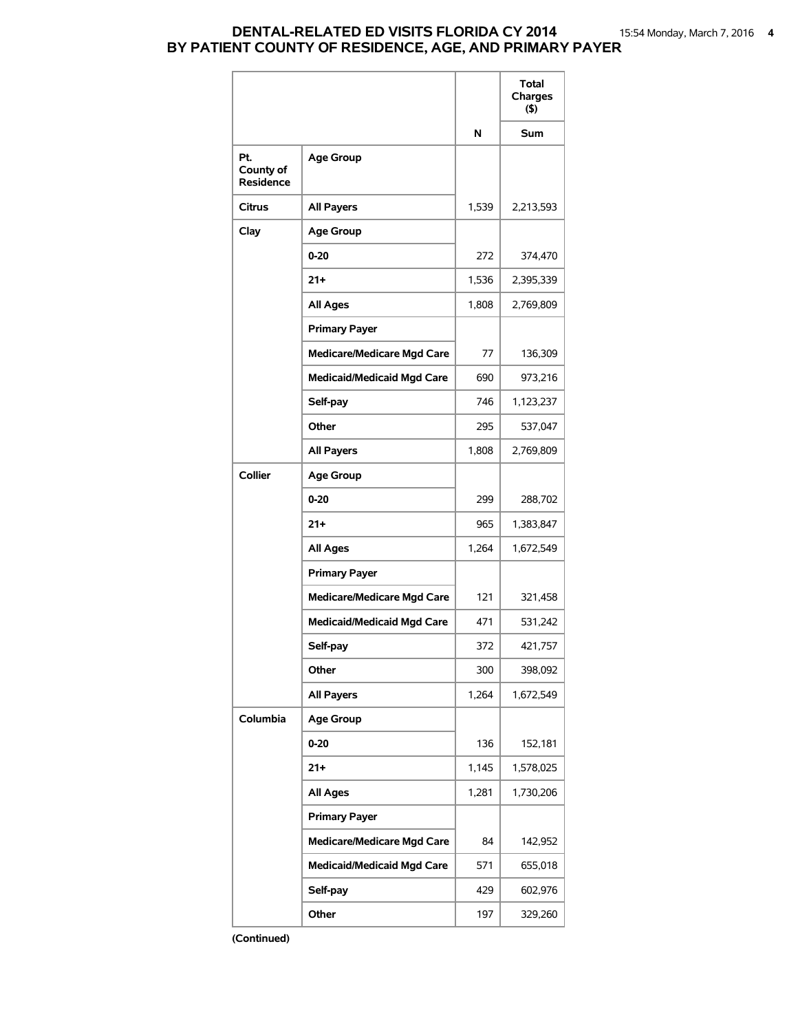### **DENTAL-RELATED ED VISITS FLORIDA CY 2014** 15:54 Monday, March 7, 2016 **4 BY PATIENT COUNTY OF RESIDENCE, AGE, AND PRIMARY PAYER**

|                                      |                                   |       | <b>Total</b><br>Charges<br>(5) |
|--------------------------------------|-----------------------------------|-------|--------------------------------|
|                                      |                                   | N     | <b>Sum</b>                     |
| Pt.<br>County of<br><b>Residence</b> | <b>Age Group</b>                  |       |                                |
| <b>Citrus</b>                        | <b>All Payers</b>                 | 1,539 | 2,213,593                      |
| Clay                                 | <b>Age Group</b>                  |       |                                |
|                                      | $0 - 20$                          | 272   | 374,470                        |
|                                      | 21+                               | 1,536 | 2,395,339                      |
|                                      | <b>All Ages</b>                   | 1,808 | 2,769,809                      |
|                                      | <b>Primary Payer</b>              |       |                                |
|                                      | <b>Medicare/Medicare Mgd Care</b> | 77    | 136,309                        |
|                                      | <b>Medicaid/Medicaid Mgd Care</b> | 690   | 973,216                        |
|                                      | Self-pay                          | 746   | 1,123,237                      |
|                                      | Other                             | 295   | 537,047                        |
|                                      | <b>All Payers</b>                 | 1,808 | 2,769,809                      |
| Collier                              | <b>Age Group</b>                  |       |                                |
|                                      | $0 - 20$                          | 299   | 288,702                        |
|                                      | $21 +$                            | 965   | 1,383,847                      |
|                                      | <b>All Ages</b>                   | 1,264 | 1,672,549                      |
|                                      | <b>Primary Payer</b>              |       |                                |
|                                      | <b>Medicare/Medicare Mgd Care</b> | 121   | 321,458                        |
|                                      | <b>Medicaid/Medicaid Mgd Care</b> | 471   | 531,242                        |
|                                      | Self-pay                          | 372   | 421,757                        |
|                                      | Other                             | 300   | 398,092                        |
|                                      | <b>All Payers</b>                 | 1,264 | 1,672,549                      |
| Columbia                             | <b>Age Group</b>                  |       |                                |
|                                      | 0-20                              | 136   | 152,181                        |
|                                      | $21 +$                            | 1,145 | 1,578,025                      |
|                                      | <b>All Ages</b>                   | 1,281 | 1,730,206                      |
|                                      | <b>Primary Payer</b>              |       |                                |
|                                      | <b>Medicare/Medicare Mgd Care</b> | 84    | 142,952                        |
|                                      | <b>Medicaid/Medicaid Mgd Care</b> | 571   | 655,018                        |
|                                      | Self-pay                          | 429   | 602,976                        |
|                                      | Other                             | 197   | 329,260                        |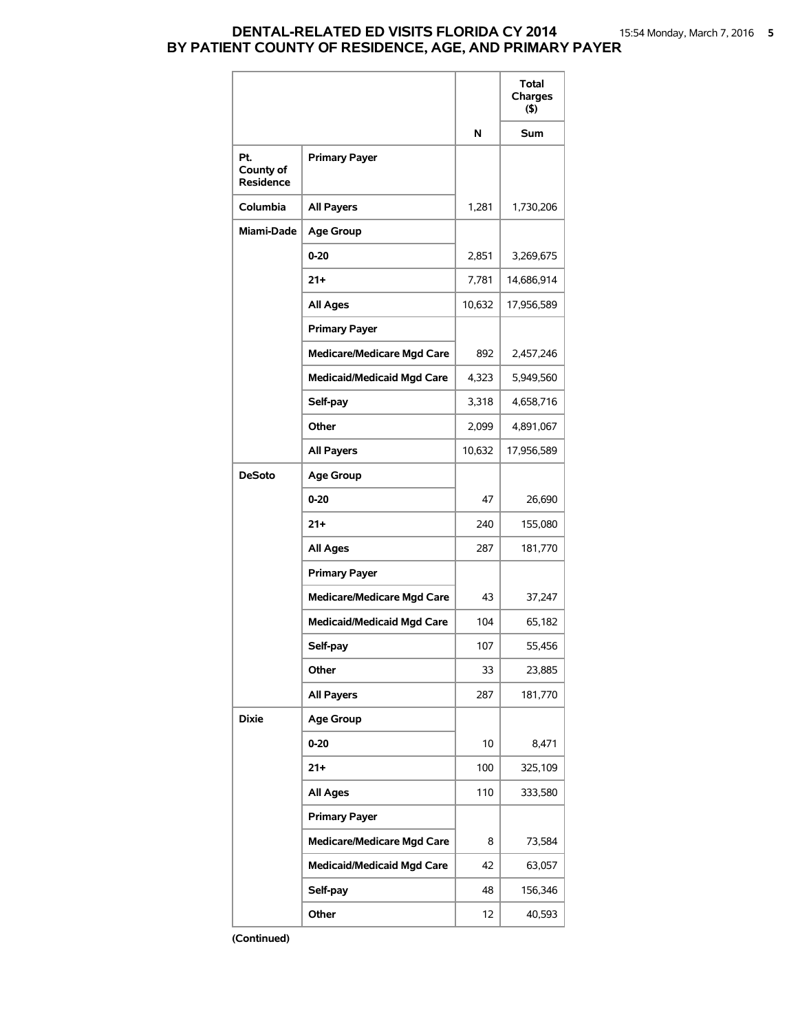### **DENTAL-RELATED ED VISITS FLORIDA CY 2014** 15:54 Monday, March 7, 2016 **5 BY PATIENT COUNTY OF RESIDENCE, AGE, AND PRIMARY PAYER**

|                               |                                   |        | <b>Total</b><br>Charges<br>(5) |
|-------------------------------|-----------------------------------|--------|--------------------------------|
|                               |                                   | N      | Sum                            |
| Pt.<br>County of<br>Residence | <b>Primary Payer</b>              |        |                                |
| Columbia                      | <b>All Payers</b>                 | 1,281  | 1,730,206                      |
| Miami-Dade                    | <b>Age Group</b>                  |        |                                |
|                               | $0 - 20$                          | 2,851  | 3,269,675                      |
|                               | $21 +$                            | 7,781  | 14,686,914                     |
|                               | <b>All Ages</b>                   | 10,632 | 17,956,589                     |
|                               | <b>Primary Payer</b>              |        |                                |
|                               | <b>Medicare/Medicare Mgd Care</b> | 892    | 2,457,246                      |
|                               | <b>Medicaid/Medicaid Mgd Care</b> | 4,323  | 5,949,560                      |
|                               | Self-pay                          | 3,318  | 4,658,716                      |
|                               | Other                             | 2,099  | 4,891,067                      |
|                               | <b>All Payers</b>                 | 10,632 | 17,956,589                     |
| <b>DeSoto</b>                 | <b>Age Group</b>                  |        |                                |
|                               | $0 - 20$                          | 47     | 26,690                         |
|                               | $21 +$                            | 240    | 155,080                        |
|                               | <b>All Ages</b>                   | 287    | 181,770                        |
|                               | <b>Primary Payer</b>              |        |                                |
|                               | <b>Medicare/Medicare Mgd Care</b> | 43     | 37,247                         |
|                               | <b>Medicaid/Medicaid Mgd Care</b> | 104    | 65,182                         |
|                               | Self-pay                          | 107    | 55,456                         |
|                               | Other                             | 33     | 23,885                         |
|                               | <b>All Payers</b>                 | 287    | 181,770                        |
| <b>Dixie</b>                  | <b>Age Group</b>                  |        |                                |
|                               | $0 - 20$                          | 10     | 8,471                          |
|                               | $21 +$                            | 100    | 325,109                        |
|                               | <b>All Ages</b>                   | 110    | 333,580                        |
|                               | <b>Primary Payer</b>              |        |                                |
|                               | <b>Medicare/Medicare Mgd Care</b> | 8      | 73,584                         |
|                               | <b>Medicaid/Medicaid Mgd Care</b> | 42     | 63,057                         |
|                               | Self-pay                          | 48     | 156,346                        |
|                               | Other                             | 12     | 40,593                         |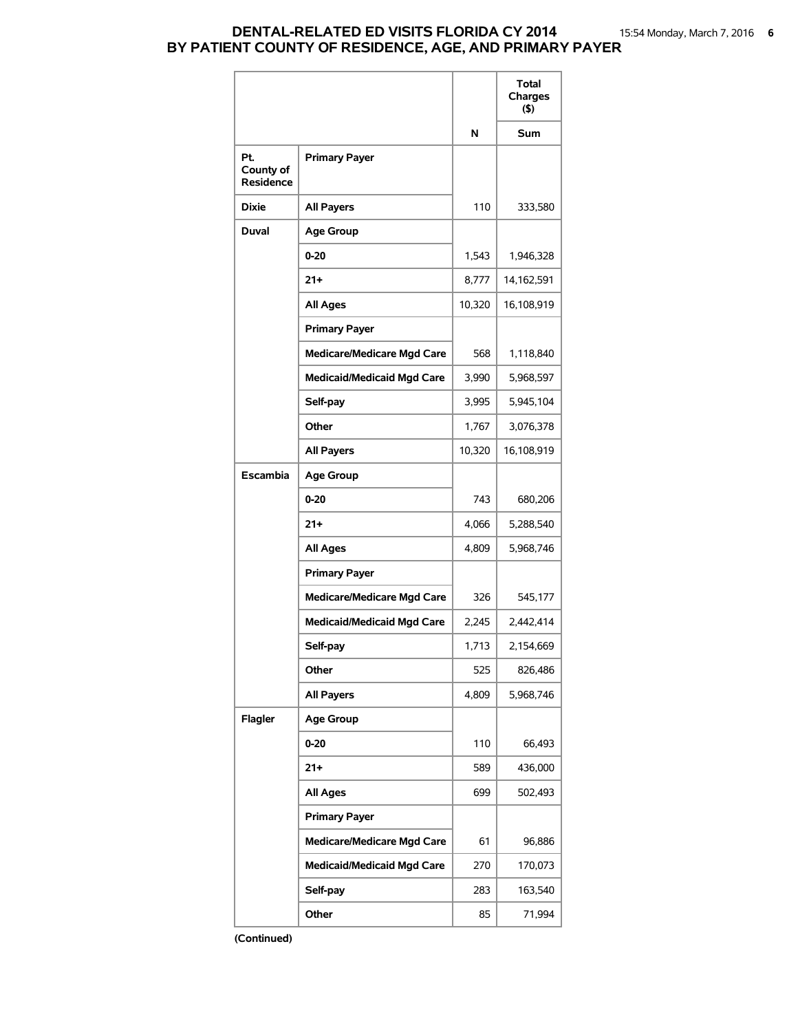### **DENTAL-RELATED ED VISITS FLORIDA CY 2014** 15:54 Monday, March 7, 2016 **6 BY PATIENT COUNTY OF RESIDENCE, AGE, AND PRIMARY PAYER**

|                                      |                                   |        | <b>Total</b><br>Charges<br>$($ \$) |
|--------------------------------------|-----------------------------------|--------|------------------------------------|
|                                      |                                   | N      | Sum                                |
| Pt.<br>County of<br><b>Residence</b> | <b>Primary Payer</b>              |        |                                    |
| <b>Dixie</b>                         | <b>All Payers</b>                 | 110    | 333,580                            |
| <b>Duval</b>                         | <b>Age Group</b>                  |        |                                    |
|                                      | $0 - 20$                          | 1,543  | 1,946,328                          |
|                                      | $21+$                             | 8,777  | 14,162,591                         |
|                                      | <b>All Ages</b>                   | 10,320 | 16,108,919                         |
|                                      | <b>Primary Payer</b>              |        |                                    |
|                                      | <b>Medicare/Medicare Mgd Care</b> | 568    | 1,118,840                          |
|                                      | <b>Medicaid/Medicaid Mgd Care</b> | 3,990  | 5,968,597                          |
|                                      | Self-pay                          | 3,995  | 5,945,104                          |
|                                      | Other                             | 1,767  | 3,076,378                          |
|                                      | <b>All Payers</b>                 | 10,320 | 16,108,919                         |
| Escambia                             | <b>Age Group</b>                  |        |                                    |
|                                      | $0 - 20$                          | 743    | 680,206                            |
|                                      | $21+$                             | 4,066  | 5,288,540                          |
|                                      | <b>All Ages</b>                   | 4,809  | 5,968,746                          |
|                                      | <b>Primary Payer</b>              |        |                                    |
|                                      | <b>Medicare/Medicare Mgd Care</b> | 326    | 545,177                            |
|                                      | <b>Medicaid/Medicaid Mgd Care</b> | 2,245  | 2,442,414                          |
|                                      | Self-pay                          | 1,713  | 2,154,669                          |
|                                      | Other                             | 525    | 826,486                            |
|                                      | <b>All Payers</b>                 | 4,809  | 5.968.746                          |
| Flagler                              | <b>Age Group</b>                  |        |                                    |
|                                      | $0 - 20$                          | 110    | 66,493                             |
|                                      | 21+                               | 589    | 436,000                            |
|                                      | <b>All Ages</b>                   | 699    | 502,493                            |
|                                      | <b>Primary Payer</b>              |        |                                    |
|                                      | <b>Medicare/Medicare Mgd Care</b> | 61     | 96,886                             |
|                                      | <b>Medicaid/Medicaid Mgd Care</b> | 270    | 170,073                            |
|                                      | Self-pay                          | 283    | 163,540                            |
|                                      | Other                             | 85     | 71,994                             |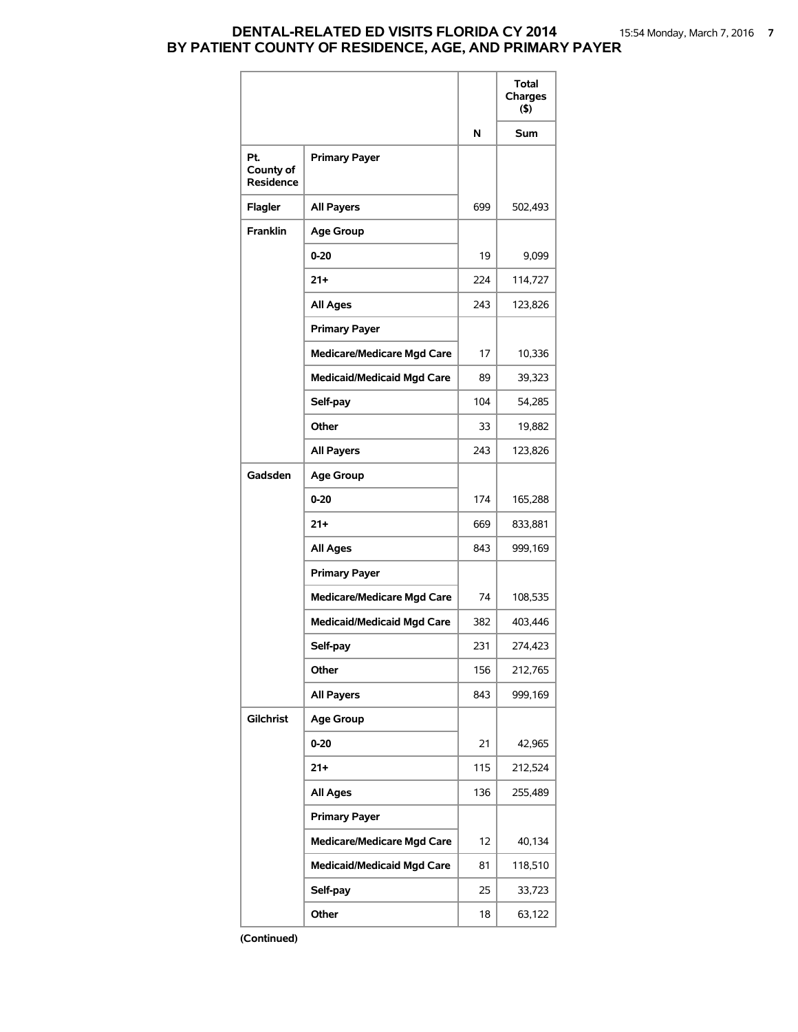# **DENTAL-RELATED ED VISITS FLORIDA CY 2014** 15:54 Monday, March 7, 2016 **7 BY PATIENT COUNTY OF RESIDENCE, AGE, AND PRIMARY PAYER**

|                                      |                                   |     | Total<br>Charges<br>$($ \$) |
|--------------------------------------|-----------------------------------|-----|-----------------------------|
|                                      |                                   | N   | Sum                         |
| Pt.<br>County of<br><b>Residence</b> | <b>Primary Payer</b>              |     |                             |
| Flagler                              | <b>All Payers</b>                 | 699 | 502,493                     |
| <b>Franklin</b>                      | <b>Age Group</b>                  |     |                             |
|                                      | $0 - 20$                          | 19  | 9,099                       |
|                                      | $21+$                             | 224 | 114,727                     |
|                                      | All Ages                          | 243 | 123,826                     |
|                                      | <b>Primary Payer</b>              |     |                             |
|                                      | <b>Medicare/Medicare Mgd Care</b> | 17  | 10,336                      |
|                                      | <b>Medicaid/Medicaid Mgd Care</b> | 89  | 39,323                      |
|                                      | Self-pay                          | 104 | 54,285                      |
|                                      | Other                             | 33  | 19,882                      |
|                                      | <b>All Payers</b>                 | 243 | 123,826                     |
| Gadsden                              | <b>Age Group</b>                  |     |                             |
|                                      | $0 - 20$                          | 174 | 165,288                     |
|                                      | $21 +$                            | 669 | 833,881                     |
|                                      | <b>All Ages</b>                   | 843 | 999,169                     |
|                                      | <b>Primary Payer</b>              |     |                             |
|                                      | <b>Medicare/Medicare Mgd Care</b> | 74  | 108,535                     |
|                                      | <b>Medicaid/Medicaid Mgd Care</b> | 382 | 403,446                     |
|                                      | Self-pay                          | 231 | 274,423                     |
|                                      | Other                             | 156 | 212,765                     |
|                                      | <b>All Payers</b>                 | 843 | 999,169                     |
| Gilchrist                            | <b>Age Group</b>                  |     |                             |
|                                      | 0-20                              | 21  | 42,965                      |
|                                      | $21 +$                            | 115 | 212,524                     |
|                                      | <b>All Ages</b>                   | 136 | 255,489                     |
|                                      | <b>Primary Payer</b>              |     |                             |
|                                      | <b>Medicare/Medicare Mgd Care</b> | 12  | 40,134                      |
|                                      | <b>Medicaid/Medicaid Mgd Care</b> | 81  | 118,510                     |
|                                      | Self-pay                          | 25  | 33,723                      |
|                                      | Other                             | 18  | 63,122                      |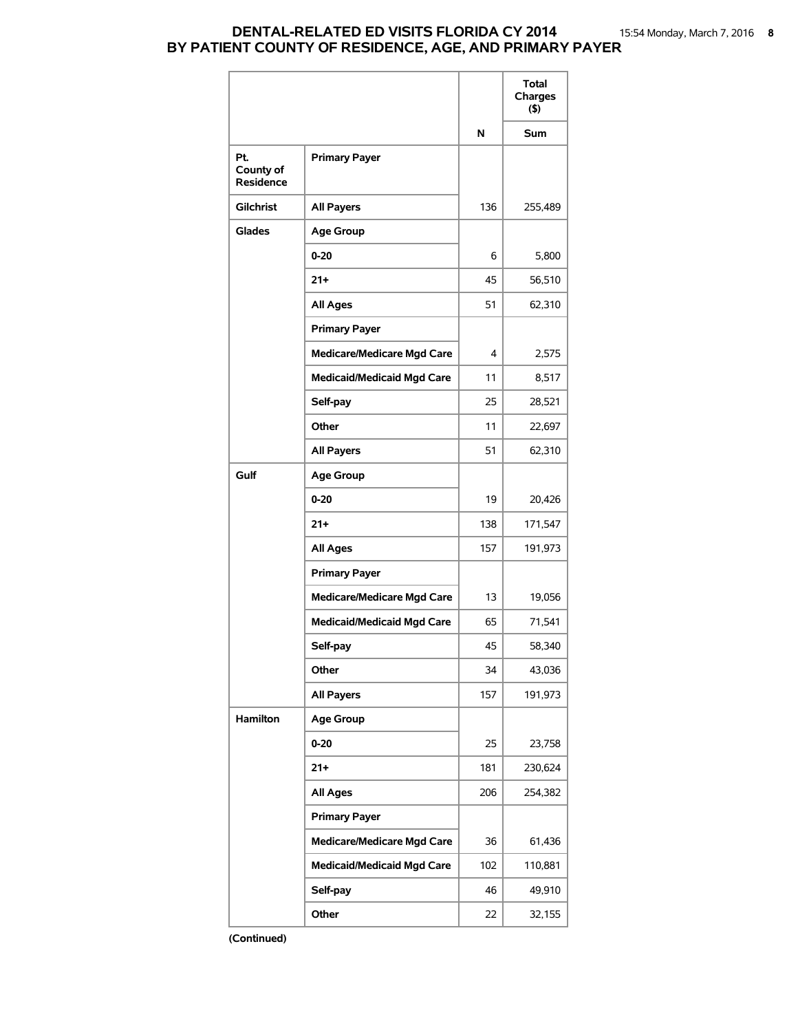### **DENTAL-RELATED ED VISITS FLORIDA CY 2014** 15:54 Monday, March 7, 2016 **8 BY PATIENT COUNTY OF RESIDENCE, AGE, AND PRIMARY PAYER**

|                                      |                                   |     | Total<br>Charges<br>(5) |
|--------------------------------------|-----------------------------------|-----|-------------------------|
|                                      |                                   | N   | <b>Sum</b>              |
| Pt.<br>County of<br><b>Residence</b> | <b>Primary Payer</b>              |     |                         |
| <b>Gilchrist</b>                     | <b>All Payers</b>                 | 136 | 255,489                 |
| Glades                               | <b>Age Group</b>                  |     |                         |
|                                      | $0 - 20$                          | 6   | 5,800                   |
|                                      | $21+$                             | 45  | 56,510                  |
|                                      | <b>All Ages</b>                   | 51  | 62,310                  |
|                                      | <b>Primary Payer</b>              |     |                         |
|                                      | <b>Medicare/Medicare Mgd Care</b> | 4   | 2,575                   |
|                                      | <b>Medicaid/Medicaid Mgd Care</b> | 11  | 8,517                   |
|                                      | Self-pay                          | 25  | 28,521                  |
|                                      | Other                             | 11  | 22,697                  |
|                                      | <b>All Payers</b>                 | 51  | 62,310                  |
| Gulf                                 | <b>Age Group</b>                  |     |                         |
|                                      | $0 - 20$                          | 19  | 20,426                  |
|                                      | $21+$                             | 138 | 171,547                 |
|                                      | <b>All Ages</b>                   | 157 | 191,973                 |
|                                      | <b>Primary Payer</b>              |     |                         |
|                                      | <b>Medicare/Medicare Mgd Care</b> | 13  | 19,056                  |
|                                      | <b>Medicaid/Medicaid Mgd Care</b> | 65  | 71,541                  |
|                                      | Self-pay                          | 45  | 58,340                  |
|                                      | Other                             | 34  | 43,036                  |
|                                      | <b>All Payers</b>                 | 157 | 191,973                 |
| Hamilton                             | <b>Age Group</b>                  |     |                         |
|                                      | $0 - 20$                          | 25  | 23,758                  |
|                                      | $21+$                             | 181 | 230,624                 |
|                                      | <b>All Ages</b>                   | 206 | 254,382                 |
|                                      | <b>Primary Payer</b>              |     |                         |
|                                      | <b>Medicare/Medicare Mgd Care</b> | 36  | 61,436                  |
|                                      | <b>Medicaid/Medicaid Mgd Care</b> | 102 | 110,881                 |
|                                      | Self-pay                          | 46  | 49,910                  |
|                                      | Other                             | 22  | 32,155                  |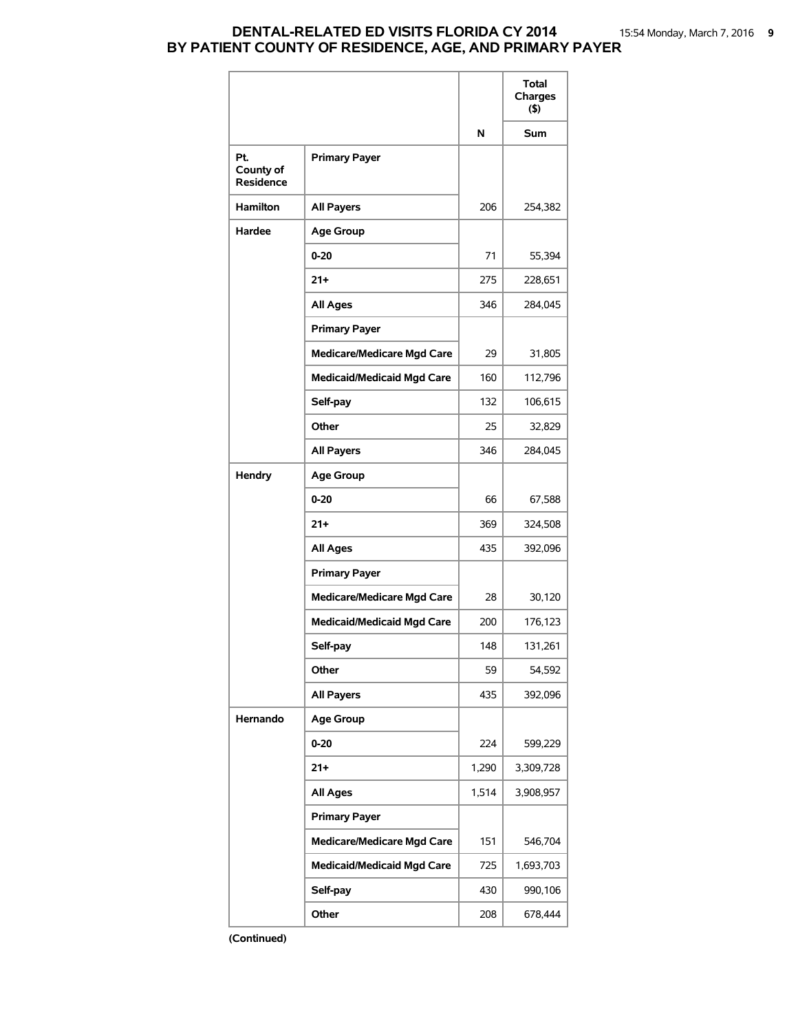### **DENTAL-RELATED ED VISITS FLORIDA CY 2014** 15:54 Monday, March 7, 2016 **9 BY PATIENT COUNTY OF RESIDENCE, AGE, AND PRIMARY PAYER**

|                               |                                   |       | Total<br>Charges<br>(5) |
|-------------------------------|-----------------------------------|-------|-------------------------|
|                               |                                   | N     | Sum                     |
| Pt.<br>County of<br>Residence | <b>Primary Payer</b>              |       |                         |
| <b>Hamilton</b>               | <b>All Payers</b>                 | 206   | 254,382                 |
| Hardee                        | <b>Age Group</b>                  |       |                         |
|                               | $0 - 20$                          | 71    | 55,394                  |
|                               | $21 +$                            | 275   | 228,651                 |
|                               | All Ages                          | 346   | 284,045                 |
|                               | <b>Primary Payer</b>              |       |                         |
|                               | <b>Medicare/Medicare Mgd Care</b> | 29    | 31,805                  |
|                               | <b>Medicaid/Medicaid Mgd Care</b> | 160   | 112,796                 |
|                               | Self-pay                          | 132   | 106,615                 |
|                               | Other                             | 25    | 32,829                  |
|                               | All Payers                        | 346   | 284,045                 |
| <b>Hendry</b>                 | <b>Age Group</b>                  |       |                         |
|                               | $0 - 20$                          | 66    | 67,588                  |
|                               | $21 +$                            | 369   | 324,508                 |
|                               | <b>All Ages</b>                   | 435   | 392,096                 |
|                               | <b>Primary Payer</b>              |       |                         |
|                               | <b>Medicare/Medicare Mgd Care</b> | 28    | 30,120                  |
|                               | <b>Medicaid/Medicaid Mgd Care</b> | 200   | 176,123                 |
|                               | Self-pay                          | 148   | 131,261                 |
|                               | Other                             | 59    | 54,592                  |
|                               | <b>All Payers</b>                 | 435   | 392,096                 |
| Hernando                      | <b>Age Group</b>                  |       |                         |
|                               | 0-20                              | 224   | 599,229                 |
|                               | $21 +$                            | 1,290 | 3,309,728               |
|                               | <b>All Ages</b>                   | 1,514 | 3,908,957               |
|                               | <b>Primary Payer</b>              |       |                         |
|                               | <b>Medicare/Medicare Mgd Care</b> | 151   | 546,704                 |
|                               | <b>Medicaid/Medicaid Mgd Care</b> | 725   | 1,693,703               |
|                               | Self-pay                          | 430   | 990,106                 |
|                               | Other                             | 208   | 678,444                 |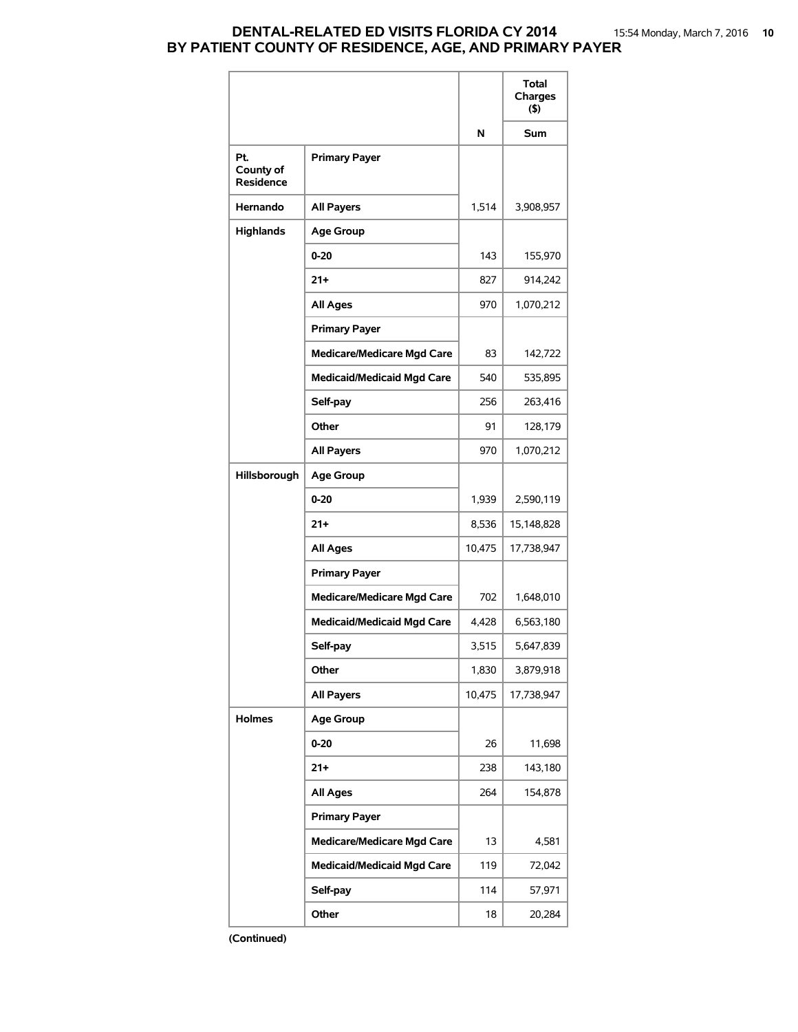## **DENTAL-RELATED ED VISITS FLORIDA CY 2014** 15:54 Monday, March 7, 2016 **10 BY PATIENT COUNTY OF RESIDENCE, AGE, AND PRIMARY PAYER**

|                                      |                                   |        | Total<br>Charges<br>(5) |
|--------------------------------------|-----------------------------------|--------|-------------------------|
|                                      |                                   | N      | <b>Sum</b>              |
| Pt.<br>County of<br><b>Residence</b> | <b>Primary Payer</b>              |        |                         |
| Hernando                             | <b>All Payers</b>                 | 1,514  | 3,908,957               |
| <b>Highlands</b>                     | <b>Age Group</b>                  |        |                         |
|                                      | $0 - 20$                          | 143    | 155,970                 |
|                                      | $21+$                             | 827    | 914,242                 |
|                                      | All Ages                          | 970    | 1,070,212               |
|                                      | <b>Primary Payer</b>              |        |                         |
|                                      | <b>Medicare/Medicare Mgd Care</b> | 83     | 142,722                 |
|                                      | <b>Medicaid/Medicaid Mgd Care</b> | 540    | 535,895                 |
|                                      | Self-pay                          | 256    | 263,416                 |
|                                      | Other                             | 91     | 128,179                 |
|                                      | <b>All Payers</b>                 | 970    | 1,070,212               |
| Hillsborough                         | <b>Age Group</b>                  |        |                         |
|                                      | $0 - 20$                          | 1,939  | 2,590,119               |
|                                      | $21+$                             | 8,536  | 15,148,828              |
|                                      | <b>All Ages</b>                   | 10,475 | 17,738,947              |
|                                      | <b>Primary Payer</b>              |        |                         |
|                                      | <b>Medicare/Medicare Mgd Care</b> | 702    | 1,648,010               |
|                                      | <b>Medicaid/Medicaid Mgd Care</b> | 4,428  | 6,563,180               |
|                                      | Self-pay                          | 3,515  | 5,647,839               |
|                                      | Other                             | 1,830  | 3,879,918               |
|                                      | <b>All Payers</b>                 | 10,475 | 17,738,947              |
| <b>Holmes</b>                        | <b>Age Group</b>                  |        |                         |
|                                      | $0 - 20$                          | 26     | 11,698                  |
|                                      | $21+$                             | 238    | 143,180                 |
|                                      | <b>All Ages</b>                   | 264    | 154,878                 |
|                                      | <b>Primary Payer</b>              |        |                         |
|                                      | <b>Medicare/Medicare Mgd Care</b> | 13     | 4,581                   |
|                                      | <b>Medicaid/Medicaid Mgd Care</b> | 119    | 72,042                  |
|                                      | Self-pay                          | 114    | 57,971                  |
|                                      | Other                             | 18     | 20,284                  |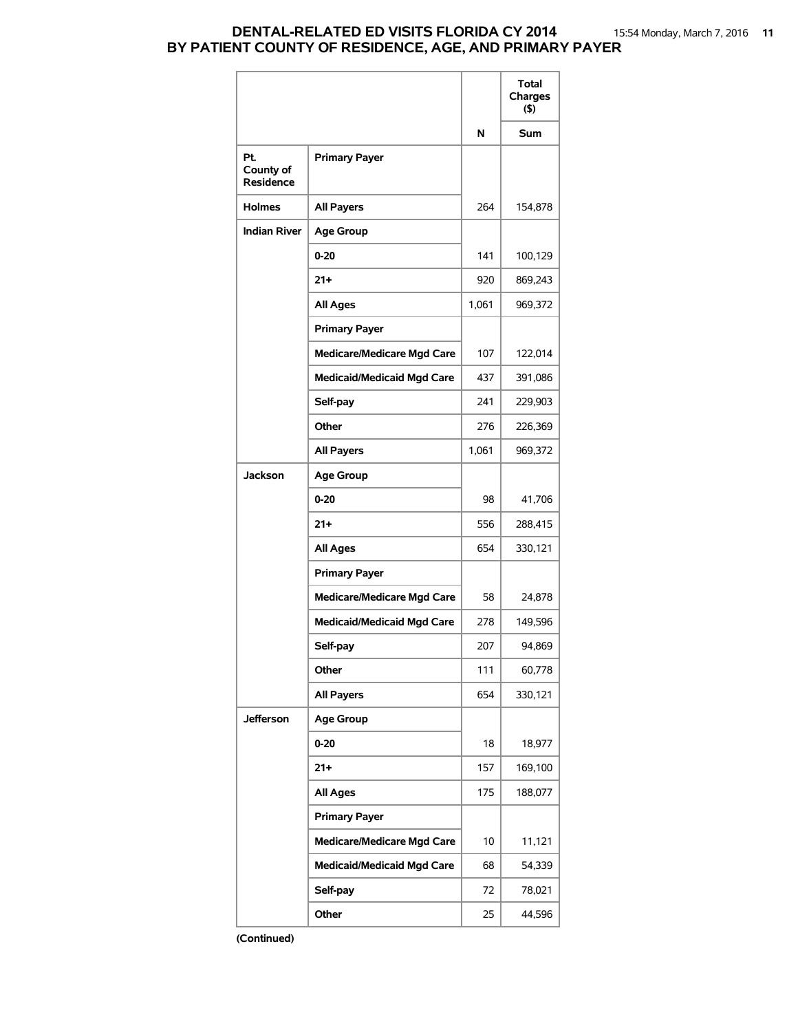## **DENTAL-RELATED ED VISITS FLORIDA CY 2014** 15:54 Monday, March 7, 2016 **11 BY PATIENT COUNTY OF RESIDENCE, AGE, AND PRIMARY PAYER**

|                               |                                   |       | Total<br>Charges<br>(5) |
|-------------------------------|-----------------------------------|-------|-------------------------|
|                               |                                   | N     | <b>Sum</b>              |
| Pt.<br>County of<br>Residence | <b>Primary Payer</b>              |       |                         |
| <b>Holmes</b>                 | <b>All Payers</b>                 | 264   | 154,878                 |
| <b>Indian River</b>           | <b>Age Group</b>                  |       |                         |
|                               | $0 - 20$                          | 141   | 100,129                 |
|                               | $21 +$                            | 920   | 869,243                 |
|                               | <b>All Ages</b>                   | 1,061 | 969,372                 |
|                               | <b>Primary Payer</b>              |       |                         |
|                               | <b>Medicare/Medicare Mgd Care</b> | 107   | 122,014                 |
|                               | <b>Medicaid/Medicaid Mgd Care</b> | 437   | 391,086                 |
|                               | Self-pay                          | 241   | 229,903                 |
|                               | Other                             | 276   | 226,369                 |
|                               | <b>All Payers</b>                 | 1,061 | 969,372                 |
| Jackson                       | <b>Age Group</b>                  |       |                         |
|                               | $0 - 20$                          | 98    | 41,706                  |
|                               | $21+$                             | 556   | 288,415                 |
|                               | <b>All Ages</b>                   | 654   | 330,121                 |
|                               | <b>Primary Payer</b>              |       |                         |
|                               | <b>Medicare/Medicare Mgd Care</b> | 58    | 24,878                  |
|                               | <b>Medicaid/Medicaid Mgd Care</b> | 278   | 149,596                 |
|                               | Self-pay                          | 207   | 94,869                  |
|                               | Other                             | 111   | 60,778                  |
|                               | <b>All Payers</b>                 | 654   | 330,121                 |
| Jefferson                     | <b>Age Group</b>                  |       |                         |
|                               | $0 - 20$                          | 18    | 18,977                  |
|                               | 21+                               | 157   | 169,100                 |
|                               | <b>All Ages</b>                   | 175   | 188,077                 |
|                               | <b>Primary Payer</b>              |       |                         |
|                               | <b>Medicare/Medicare Mgd Care</b> | 10    | 11,121                  |
|                               | <b>Medicaid/Medicaid Mgd Care</b> | 68    | 54,339                  |
|                               | Self-pay                          | 72    | 78,021                  |
|                               | Other                             | 25    | 44,596                  |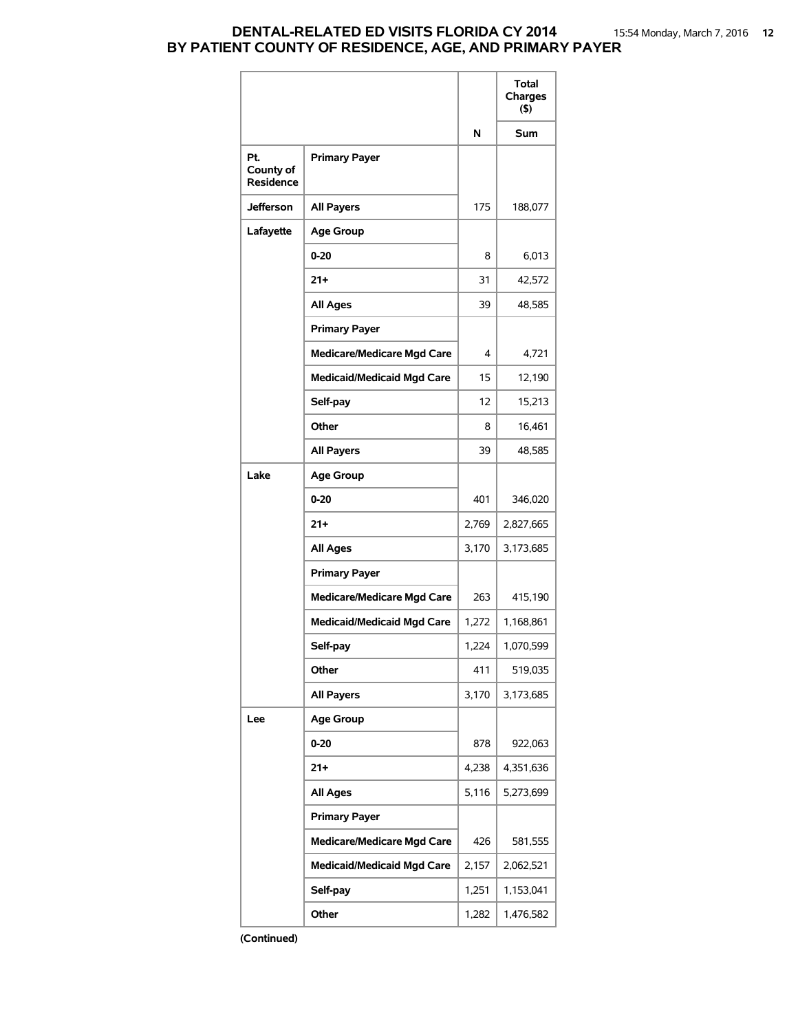## **DENTAL-RELATED ED VISITS FLORIDA CY 2014** 15:54 Monday, March 7, 2016 **12 BY PATIENT COUNTY OF RESIDENCE, AGE, AND PRIMARY PAYER**

|                                      |                                   |       | Total<br>Charges<br>(5) |
|--------------------------------------|-----------------------------------|-------|-------------------------|
|                                      |                                   | N     | Sum                     |
| Pt.<br>County of<br><b>Residence</b> | <b>Primary Payer</b>              |       |                         |
| <b>Jefferson</b>                     | <b>All Payers</b>                 | 175   | 188,077                 |
| Lafayette                            | <b>Age Group</b>                  |       |                         |
|                                      | 0-20                              | 8     | 6,013                   |
|                                      | 21+                               | 31    | 42,572                  |
|                                      | <b>All Ages</b>                   | 39    | 48,585                  |
|                                      | <b>Primary Payer</b>              |       |                         |
|                                      | <b>Medicare/Medicare Mgd Care</b> | 4     | 4,721                   |
|                                      | <b>Medicaid/Medicaid Mgd Care</b> | 15    | 12,190                  |
|                                      | Self-pay                          | 12    | 15,213                  |
|                                      | Other                             | 8     | 16,461                  |
|                                      | <b>All Payers</b>                 | 39    | 48,585                  |
| Lake                                 | <b>Age Group</b>                  |       |                         |
|                                      | 0-20                              | 401   | 346,020                 |
|                                      | 21+                               | 2,769 | 2,827,665               |
|                                      | <b>All Ages</b>                   | 3,170 | 3,173,685               |
|                                      | <b>Primary Payer</b>              |       |                         |
|                                      | <b>Medicare/Medicare Mgd Care</b> | 263   | 415,190                 |
|                                      | <b>Medicaid/Medicaid Mgd Care</b> | 1,272 | 1,168,861               |
|                                      | Self-pay                          | 1,224 | 1,070,599               |
|                                      | Other                             | 411   | 519,035                 |
|                                      | <b>All Payers</b>                 | 3,170 | 3,173,685               |
| Lee                                  | <b>Age Group</b>                  |       |                         |
|                                      | 0-20                              | 878   | 922,063                 |
|                                      | $21 +$                            | 4,238 | 4,351,636               |
|                                      | <b>All Ages</b>                   | 5,116 | 5,273,699               |
|                                      | <b>Primary Payer</b>              |       |                         |
|                                      | <b>Medicare/Medicare Mgd Care</b> | 426   | 581,555                 |
|                                      | <b>Medicaid/Medicaid Mgd Care</b> | 2,157 | 2,062,521               |
|                                      | Self-pay                          | 1,251 | 1,153,041               |
|                                      | Other                             | 1,282 | 1,476,582               |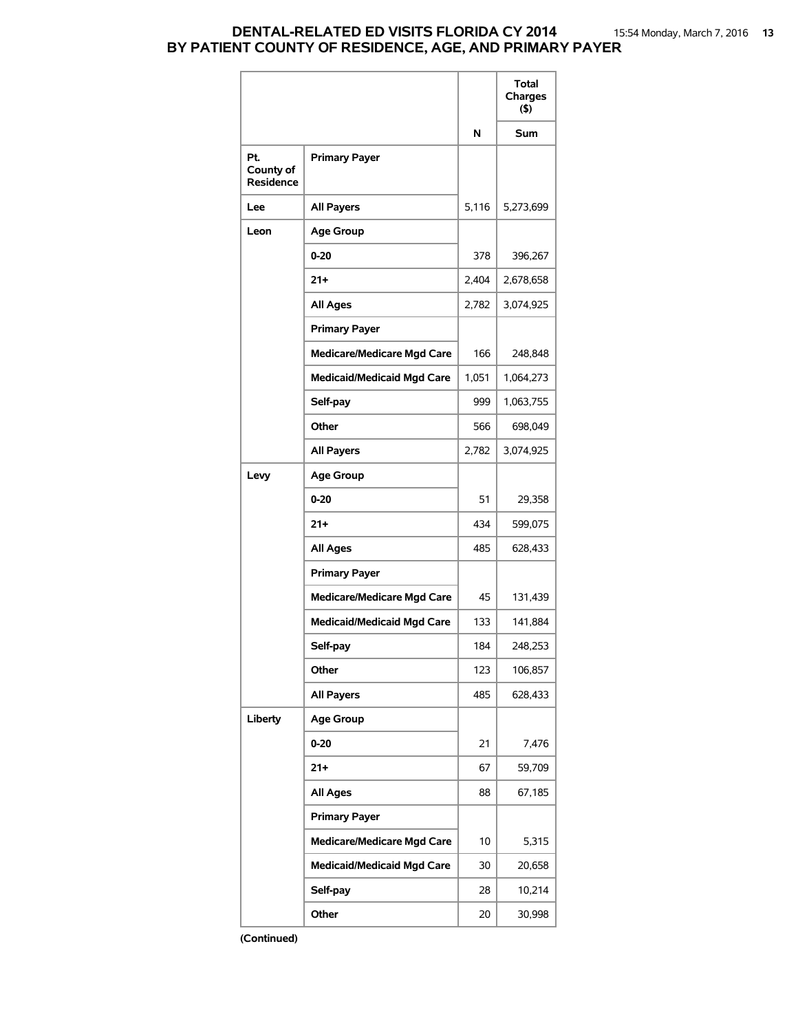### **DENTAL-RELATED ED VISITS FLORIDA CY 2014** 15:54 Monday, March 7, 2016 **13 BY PATIENT COUNTY OF RESIDENCE, AGE, AND PRIMARY PAYER**

|                                      |                                   |       | Total<br>Charges<br>$($ \$) |
|--------------------------------------|-----------------------------------|-------|-----------------------------|
|                                      |                                   | N     | Sum                         |
| Pt.<br>County of<br><b>Residence</b> | <b>Primary Payer</b>              |       |                             |
| Lee                                  | <b>All Payers</b>                 | 5,116 | 5,273,699                   |
| Leon                                 | <b>Age Group</b>                  |       |                             |
|                                      | $0 - 20$                          | 378   | 396,267                     |
|                                      | $21+$                             | 2,404 | 2,678,658                   |
|                                      | All Ages                          | 2,782 | 3,074,925                   |
|                                      | <b>Primary Payer</b>              |       |                             |
|                                      | <b>Medicare/Medicare Mgd Care</b> | 166   | 248,848                     |
|                                      | <b>Medicaid/Medicaid Mgd Care</b> | 1,051 | 1,064,273                   |
|                                      | Self-pay                          | 999   | 1,063,755                   |
|                                      | Other                             | 566   | 698,049                     |
|                                      | <b>All Payers</b>                 | 2,782 | 3,074,925                   |
| Levy                                 | <b>Age Group</b>                  |       |                             |
|                                      | $0 - 20$                          | 51    | 29,358                      |
|                                      | $21+$                             | 434   | 599,075                     |
|                                      | <b>All Ages</b>                   | 485   | 628,433                     |
|                                      | <b>Primary Payer</b>              |       |                             |
|                                      | <b>Medicare/Medicare Mgd Care</b> | 45    | 131,439                     |
|                                      | <b>Medicaid/Medicaid Mgd Care</b> | 133   | 141,884                     |
|                                      | Self-pay                          | 184   | 248,253                     |
|                                      | Other                             | 123   | 106,857                     |
|                                      | <b>All Payers</b>                 | 485   | 628,433                     |
| Liberty                              | <b>Age Group</b>                  |       |                             |
|                                      | $0 - 20$                          | 21    | 7,476                       |
|                                      | $21 +$                            | 67    | 59,709                      |
|                                      | <b>All Ages</b>                   | 88    | 67,185                      |
|                                      | <b>Primary Payer</b>              |       |                             |
|                                      | <b>Medicare/Medicare Mgd Care</b> | 10    | 5,315                       |
|                                      | <b>Medicaid/Medicaid Mgd Care</b> | 30    | 20,658                      |
|                                      | Self-pay                          | 28    | 10,214                      |
|                                      | Other                             | 20    | 30,998                      |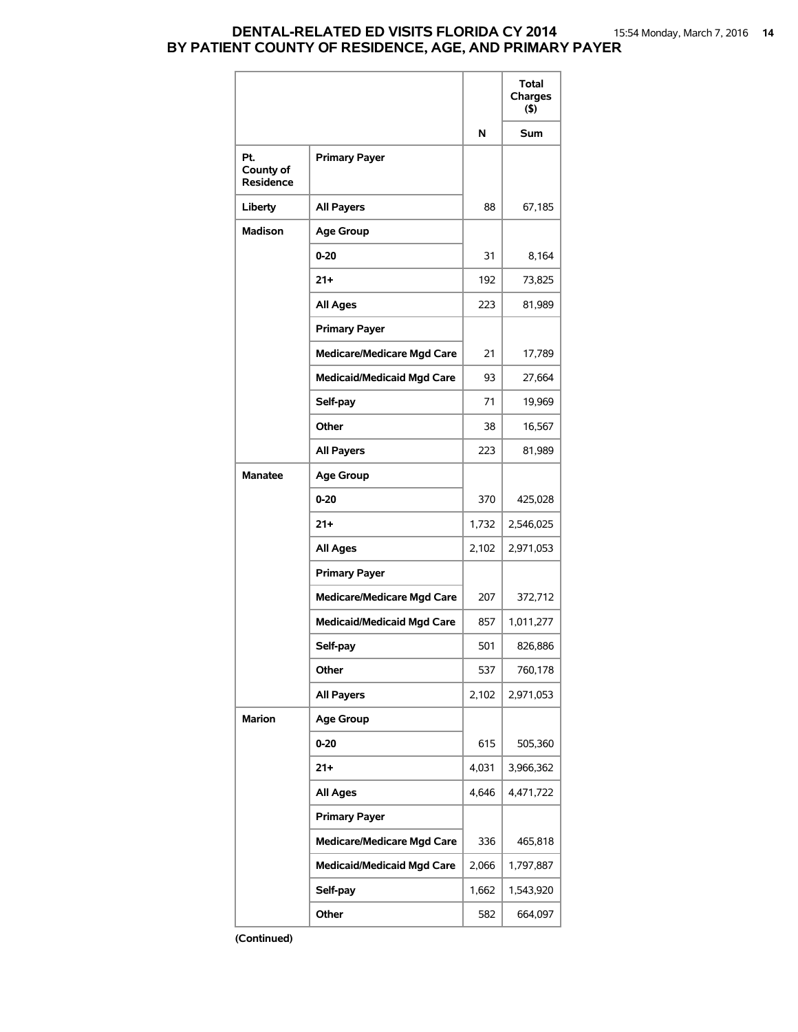### **DENTAL-RELATED ED VISITS FLORIDA CY 2014** 15:54 Monday, March 7, 2016 **14 BY PATIENT COUNTY OF RESIDENCE, AGE, AND PRIMARY PAYER**

|                                      |                                   |       | Total<br>Charges<br>(5) |
|--------------------------------------|-----------------------------------|-------|-------------------------|
|                                      |                                   | N     | Sum                     |
| Pt.<br>County of<br><b>Residence</b> | <b>Primary Payer</b>              |       |                         |
| Liberty                              | <b>All Payers</b>                 | 88    | 67,185                  |
| <b>Madison</b>                       | <b>Age Group</b>                  |       |                         |
|                                      | $0 - 20$                          | 31    | 8,164                   |
|                                      | $21+$                             | 192   | 73,825                  |
|                                      | All Ages                          | 223   | 81,989                  |
|                                      | <b>Primary Payer</b>              |       |                         |
|                                      | <b>Medicare/Medicare Mgd Care</b> | 21    | 17,789                  |
|                                      | <b>Medicaid/Medicaid Mgd Care</b> | 93    | 27,664                  |
|                                      | Self-pay                          | 71    | 19,969                  |
|                                      | Other                             | 38    | 16,567                  |
|                                      | All Payers                        | 223   | 81,989                  |
| <b>Manatee</b>                       | <b>Age Group</b>                  |       |                         |
|                                      | $0 - 20$                          | 370   | 425,028                 |
|                                      | $21+$                             | 1,732 | 2,546,025               |
|                                      | <b>All Ages</b>                   | 2,102 | 2,971,053               |
|                                      | <b>Primary Payer</b>              |       |                         |
|                                      | <b>Medicare/Medicare Mgd Care</b> | 207   | 372,712                 |
|                                      | <b>Medicaid/Medicaid Mgd Care</b> | 857   | 1,011,277               |
|                                      | Self-pay                          | 501   | 826,886                 |
|                                      | Other                             | 537   | 760,178                 |
|                                      | <b>All Payers</b>                 | 2,102 | 2,971,053               |
| <b>Marion</b>                        | <b>Age Group</b>                  |       |                         |
|                                      | 0-20                              | 615   | 505,360                 |
|                                      | $21 +$                            | 4,031 | 3,966,362               |
|                                      | <b>All Ages</b>                   | 4,646 | 4,471,722               |
|                                      | <b>Primary Payer</b>              |       |                         |
|                                      | <b>Medicare/Medicare Mgd Care</b> | 336   | 465,818                 |
|                                      | <b>Medicaid/Medicaid Mgd Care</b> | 2,066 | 1,797,887               |
|                                      | Self-pay                          | 1,662 | 1,543,920               |
|                                      | Other                             | 582   | 664,097                 |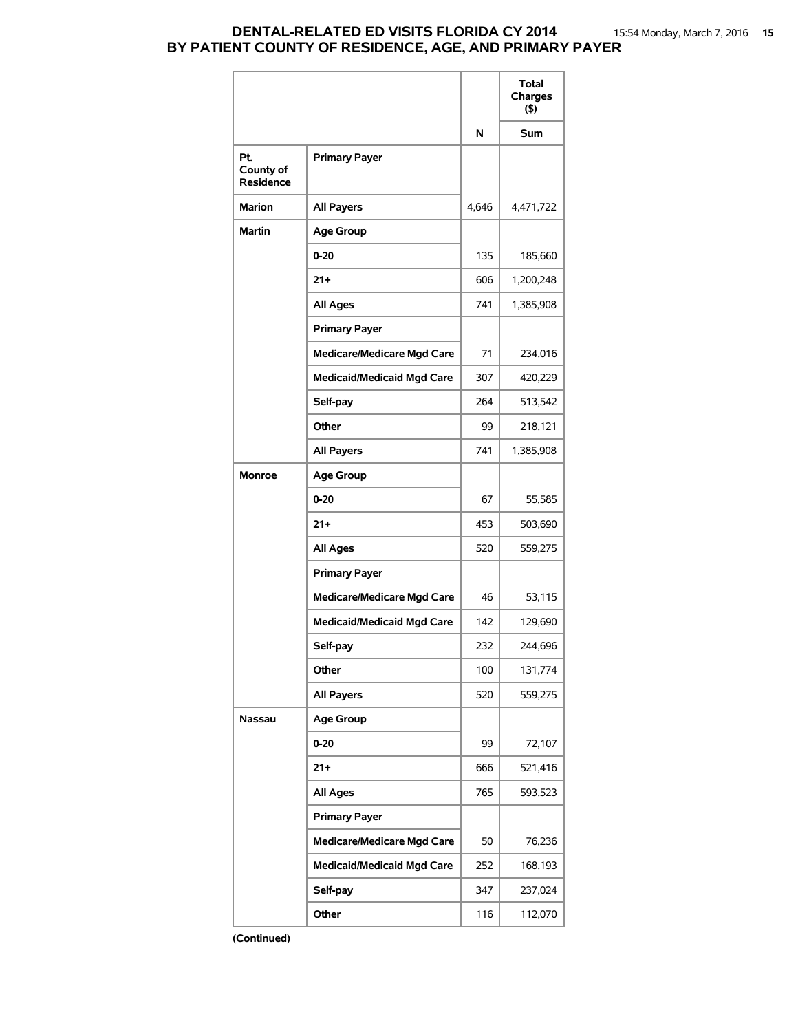## **DENTAL-RELATED ED VISITS FLORIDA CY 2014** 15:54 Monday, March 7, 2016 **15 BY PATIENT COUNTY OF RESIDENCE, AGE, AND PRIMARY PAYER**

|                               |                                   |       | Total<br>Charges<br>(5) |
|-------------------------------|-----------------------------------|-------|-------------------------|
|                               |                                   | N     | Sum                     |
| Pt.<br>County of<br>Residence | <b>Primary Payer</b>              |       |                         |
| <b>Marion</b>                 | <b>All Payers</b>                 | 4,646 | 4,471,722               |
| <b>Martin</b>                 | <b>Age Group</b>                  |       |                         |
|                               | $0 - 20$                          | 135   | 185,660                 |
|                               | $21 +$                            | 606   | 1,200,248               |
|                               | All Ages                          | 741   | 1,385,908               |
|                               | <b>Primary Payer</b>              |       |                         |
|                               | <b>Medicare/Medicare Mgd Care</b> | 71    | 234,016                 |
|                               | <b>Medicaid/Medicaid Mgd Care</b> | 307   | 420,229                 |
|                               | Self-pay                          | 264   | 513,542                 |
|                               | Other                             | 99    | 218,121                 |
|                               | <b>All Payers</b>                 | 741   | 1,385,908               |
| <b>Monroe</b>                 | <b>Age Group</b>                  |       |                         |
|                               | $0 - 20$                          | 67    | 55,585                  |
|                               | $21+$                             | 453   | 503,690                 |
|                               | <b>All Ages</b>                   | 520   | 559,275                 |
|                               | <b>Primary Payer</b>              |       |                         |
|                               | <b>Medicare/Medicare Mgd Care</b> | 46    | 53,115                  |
|                               | <b>Medicaid/Medicaid Mgd Care</b> | 142   | 129,690                 |
|                               | Self-pay                          | 232   | 244,696                 |
|                               | Other                             | 100   | 131,774                 |
|                               | <b>All Payers</b>                 | 520   | 559,275                 |
| Nassau                        | <b>Age Group</b>                  |       |                         |
|                               | $0 - 20$                          | 99    | 72,107                  |
|                               | $21 +$                            | 666   | 521,416                 |
|                               | <b>All Ages</b>                   | 765   | 593,523                 |
|                               | <b>Primary Payer</b>              |       |                         |
|                               | <b>Medicare/Medicare Mgd Care</b> | 50    | 76,236                  |
|                               | <b>Medicaid/Medicaid Mgd Care</b> | 252   | 168,193                 |
|                               | Self-pay                          | 347   | 237,024                 |
|                               | Other                             | 116   | 112,070                 |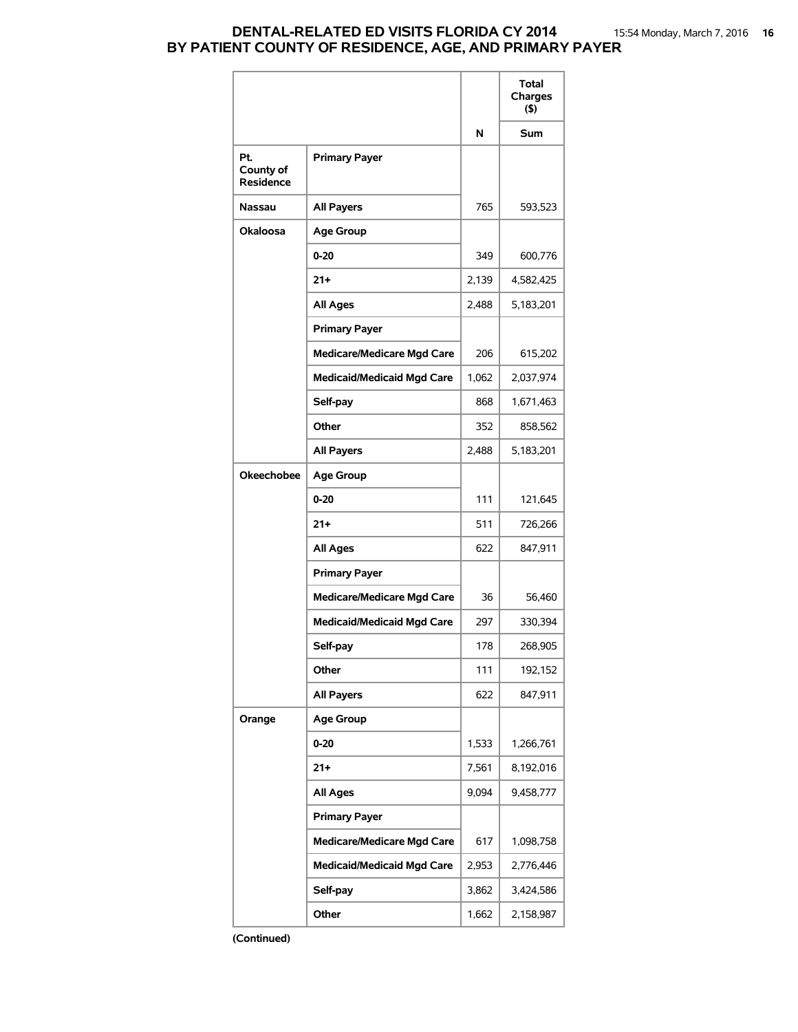### **DENTAL-RELATED ED VISITS FLORIDA CY 2014** 15:54 Monday, March 7, 2016 **16 BY PATIENT COUNTY OF RESIDENCE, AGE, AND PRIMARY PAYER**

|                                      |                                   |       | Total<br>Charges<br>(5) |
|--------------------------------------|-----------------------------------|-------|-------------------------|
|                                      |                                   | N     | Sum                     |
| Pt.<br>County of<br><b>Residence</b> | <b>Primary Payer</b>              |       |                         |
| Nassau                               | <b>All Payers</b>                 | 765   | 593,523                 |
| Okaloosa                             | <b>Age Group</b>                  |       |                         |
|                                      | $0 - 20$                          | 349   | 600,776                 |
|                                      | 21+                               | 2,139 | 4,582,425               |
|                                      | <b>All Ages</b>                   | 2,488 | 5,183,201               |
|                                      | <b>Primary Payer</b>              |       |                         |
|                                      | <b>Medicare/Medicare Mgd Care</b> | 206   | 615,202                 |
|                                      | <b>Medicaid/Medicaid Mgd Care</b> | 1,062 | 2,037,974               |
|                                      | Self-pay                          | 868   | 1,671,463               |
|                                      | Other                             | 352   | 858,562                 |
|                                      | <b>All Payers</b>                 | 2,488 | 5,183,201               |
| <b>Okeechobee</b>                    | <b>Age Group</b>                  |       |                         |
|                                      | $0 - 20$                          | 111   | 121,645                 |
|                                      | $21+$                             | 511   | 726,266                 |
|                                      | <b>All Ages</b>                   | 622   | 847,911                 |
|                                      | <b>Primary Payer</b>              |       |                         |
|                                      | <b>Medicare/Medicare Mgd Care</b> | 36    | 56,460                  |
|                                      | <b>Medicaid/Medicaid Mgd Care</b> | 297   | 330,394                 |
|                                      | Self-pay                          | 178   | 268,905                 |
|                                      | Other                             | 111   | 192,152                 |
|                                      | <b>All Payers</b>                 | 622   | 847,911                 |
| Orange                               | <b>Age Group</b>                  |       |                         |
|                                      | $0 - 20$                          | 1,533 | 1,266,761               |
|                                      | 21+                               | 7,561 | 8,192,016               |
|                                      | <b>All Ages</b>                   | 9,094 | 9,458,777               |
|                                      | <b>Primary Payer</b>              |       |                         |
|                                      | <b>Medicare/Medicare Mgd Care</b> | 617   | 1,098,758               |
|                                      | <b>Medicaid/Medicaid Mgd Care</b> | 2,953 | 2,776,446               |
|                                      | Self-pay                          | 3,862 | 3,424,586               |
|                                      | Other                             | 1,662 | 2,158,987               |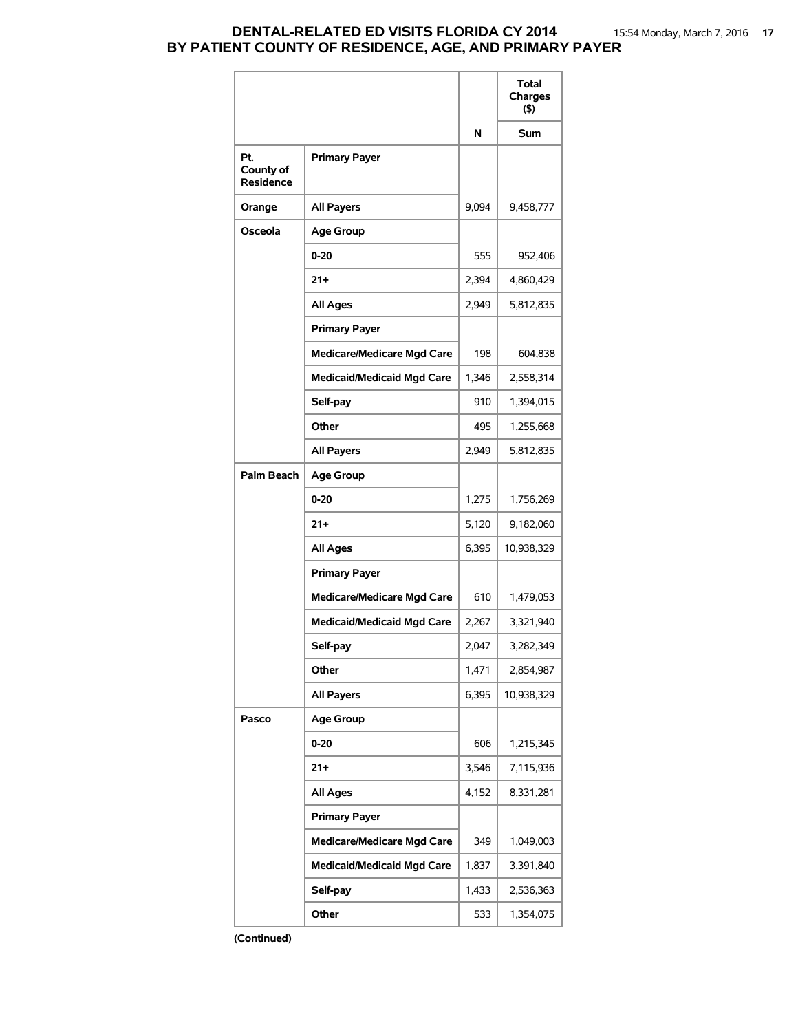## **DENTAL-RELATED ED VISITS FLORIDA CY 2014** 15:54 Monday, March 7, 2016 **17 BY PATIENT COUNTY OF RESIDENCE, AGE, AND PRIMARY PAYER**

|                                      |                                   |       | Total<br>Charges<br>$($ \$) |
|--------------------------------------|-----------------------------------|-------|-----------------------------|
|                                      |                                   | N     | <b>Sum</b>                  |
| Pt.<br>County of<br><b>Residence</b> | <b>Primary Payer</b>              |       |                             |
| Orange                               | <b>All Payers</b>                 | 9,094 | 9,458,777                   |
| Osceola                              | <b>Age Group</b>                  |       |                             |
|                                      | $0 - 20$                          | 555   | 952,406                     |
|                                      | $21 +$                            | 2,394 | 4,860,429                   |
|                                      | <b>All Ages</b>                   | 2,949 | 5,812,835                   |
|                                      | <b>Primary Payer</b>              |       |                             |
|                                      | <b>Medicare/Medicare Mgd Care</b> | 198   | 604,838                     |
|                                      | <b>Medicaid/Medicaid Mgd Care</b> | 1,346 | 2,558,314                   |
|                                      | Self-pay                          | 910   | 1,394,015                   |
|                                      | Other                             | 495   | 1,255,668                   |
|                                      | <b>All Payers</b>                 | 2,949 | 5,812,835                   |
| Palm Beach                           | <b>Age Group</b>                  |       |                             |
|                                      | $0 - 20$                          | 1,275 | 1,756,269                   |
|                                      | $21+$                             | 5,120 | 9,182,060                   |
|                                      | All Ages                          | 6,395 | 10,938,329                  |
|                                      | <b>Primary Payer</b>              |       |                             |
|                                      | <b>Medicare/Medicare Mgd Care</b> | 610   | 1,479,053                   |
|                                      | <b>Medicaid/Medicaid Mgd Care</b> | 2,267 | 3,321,940                   |
|                                      | Self-pay                          | 2,047 | 3,282,349                   |
|                                      | Other                             | 1,471 | 2,854,987                   |
|                                      | <b>All Payers</b>                 | 6,395 | 10,938,329                  |
| Pasco                                | <b>Age Group</b>                  |       |                             |
|                                      | 0-20                              | 606   | 1,215,345                   |
|                                      | $21+$                             | 3,546 | 7,115,936                   |
|                                      | <b>All Ages</b>                   | 4,152 | 8,331,281                   |
|                                      | <b>Primary Payer</b>              |       |                             |
|                                      | <b>Medicare/Medicare Mgd Care</b> | 349   | 1,049,003                   |
|                                      | <b>Medicaid/Medicaid Mgd Care</b> | 1,837 | 3,391,840                   |
|                                      | Self-pay                          | 1,433 | 2,536,363                   |
|                                      | Other                             | 533   | 1,354,075                   |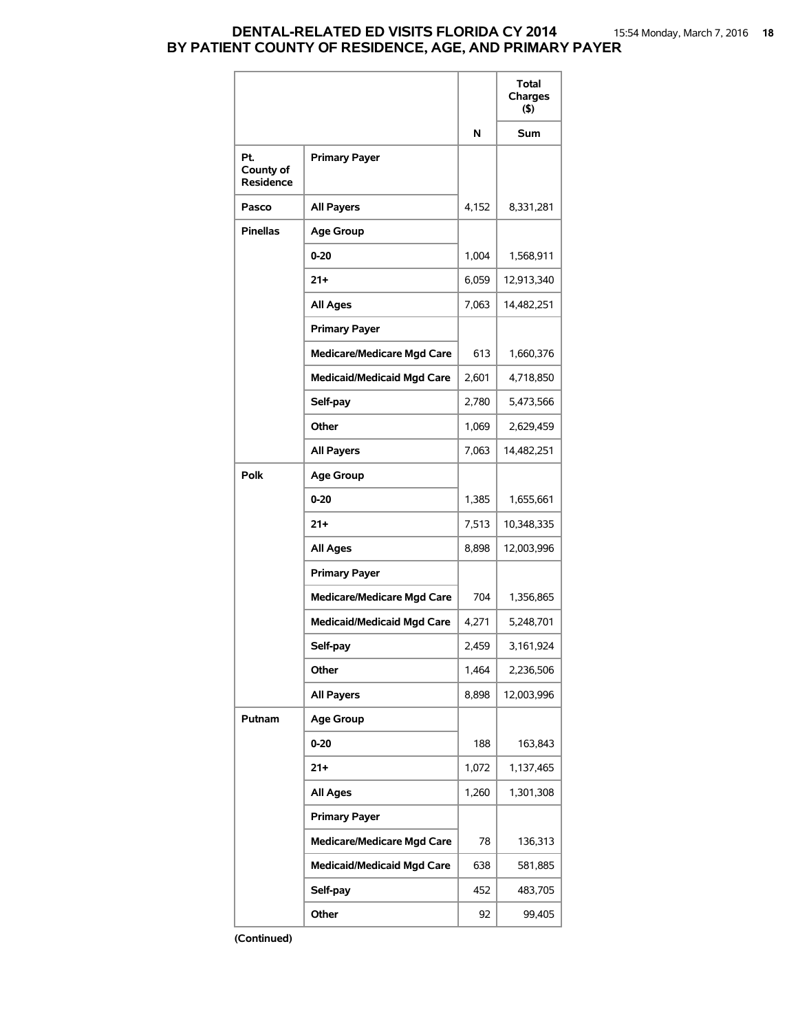## **DENTAL-RELATED ED VISITS FLORIDA CY 2014** 15:54 Monday, March 7, 2016 **18 BY PATIENT COUNTY OF RESIDENCE, AGE, AND PRIMARY PAYER**

|                                      |                                   |       | Total<br>Charges<br>(5) |
|--------------------------------------|-----------------------------------|-------|-------------------------|
|                                      |                                   | N     | Sum                     |
| Pt.<br>County of<br><b>Residence</b> | <b>Primary Payer</b>              |       |                         |
| Pasco                                | <b>All Payers</b>                 | 4,152 | 8,331,281               |
| <b>Pinellas</b>                      | <b>Age Group</b>                  |       |                         |
|                                      | $0 - 20$                          | 1,004 | 1,568,911               |
|                                      | $21+$                             | 6,059 | 12,913,340              |
|                                      | <b>All Ages</b>                   | 7,063 | 14,482,251              |
|                                      | <b>Primary Payer</b>              |       |                         |
|                                      | <b>Medicare/Medicare Mgd Care</b> | 613   | 1,660,376               |
|                                      | <b>Medicaid/Medicaid Mgd Care</b> | 2,601 | 4,718,850               |
|                                      | Self-pay                          | 2,780 | 5,473,566               |
|                                      | Other                             | 1,069 | 2,629,459               |
|                                      | <b>All Payers</b>                 | 7,063 | 14,482,251              |
| <b>Polk</b>                          | <b>Age Group</b>                  |       |                         |
|                                      | $0 - 20$                          | 1,385 | 1,655,661               |
|                                      | $21+$                             | 7,513 | 10,348,335              |
|                                      | <b>All Ages</b>                   | 8,898 | 12,003,996              |
|                                      | <b>Primary Payer</b>              |       |                         |
|                                      | <b>Medicare/Medicare Mgd Care</b> | 704   | 1,356,865               |
|                                      | <b>Medicaid/Medicaid Mgd Care</b> | 4,271 | 5,248,701               |
|                                      | Self-pay                          | 2,459 | 3,161,924               |
|                                      | Other                             | 1,464 | 2,236,506               |
|                                      | <b>All Payers</b>                 | 8,898 | 12,003,996              |
| Putnam                               | <b>Age Group</b>                  |       |                         |
|                                      | $0 - 20$                          | 188   | 163,843                 |
|                                      | $21 +$                            | 1,072 | 1,137,465               |
|                                      | <b>All Ages</b>                   | 1,260 | 1,301,308               |
|                                      | <b>Primary Payer</b>              |       |                         |
|                                      | <b>Medicare/Medicare Mgd Care</b> | 78    | 136,313                 |
|                                      | <b>Medicaid/Medicaid Mgd Care</b> | 638   | 581,885                 |
|                                      | Self-pay                          | 452   | 483,705                 |
|                                      | Other                             | 92    | 99,405                  |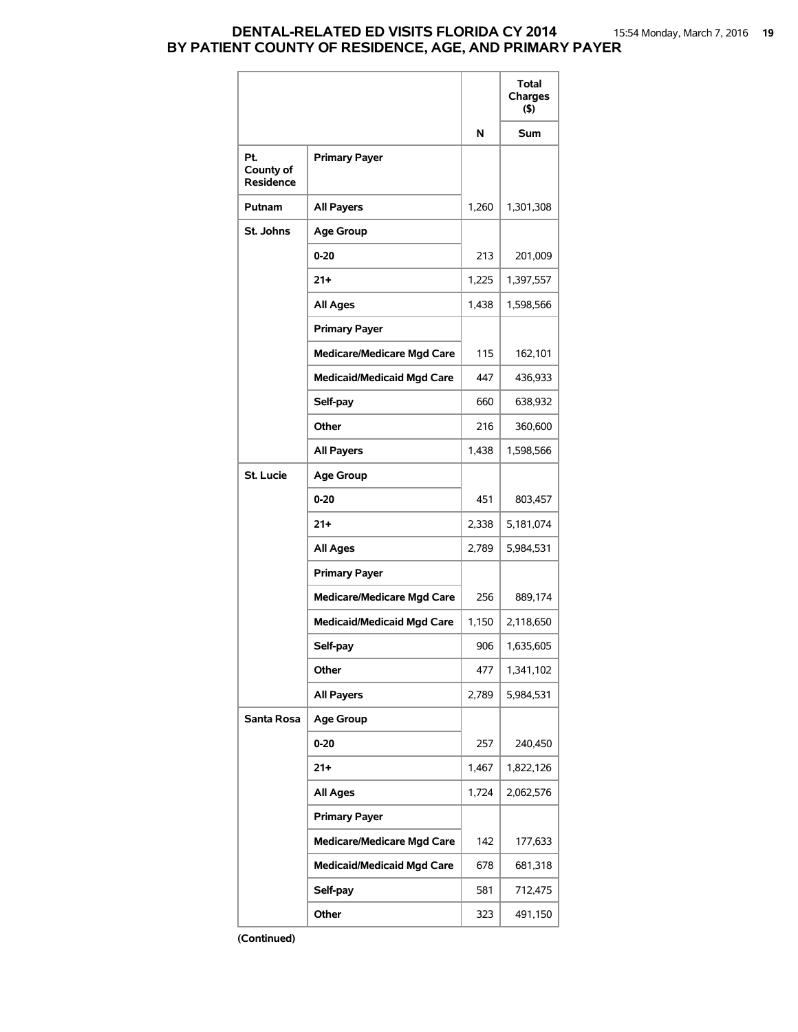## **DENTAL-RELATED ED VISITS FLORIDA CY 2014** 15:54 Monday, March 7, 2016 **19 BY PATIENT COUNTY OF RESIDENCE, AGE, AND PRIMARY PAYER**

|                                      |                                   |       | <b>Total</b><br>Charges<br>$($ \$) |
|--------------------------------------|-----------------------------------|-------|------------------------------------|
|                                      |                                   | N     | Sum                                |
| Pt.<br>County of<br><b>Residence</b> | <b>Primary Payer</b>              |       |                                    |
| Putnam                               | <b>All Payers</b>                 | 1.260 | 1,301,308                          |
| St. Johns                            | <b>Age Group</b>                  |       |                                    |
|                                      | $0 - 20$                          | 213   | 201,009                            |
|                                      | $21 +$                            | 1,225 | 1,397,557                          |
|                                      | <b>All Ages</b>                   | 1,438 | 1,598,566                          |
|                                      | <b>Primary Payer</b>              |       |                                    |
|                                      | <b>Medicare/Medicare Mgd Care</b> | 115   | 162,101                            |
|                                      | <b>Medicaid/Medicaid Mgd Care</b> | 447   | 436,933                            |
|                                      | Self-pay                          | 660   | 638,932                            |
|                                      | Other                             | 216   | 360,600                            |
|                                      | <b>All Payers</b>                 | 1,438 | 1,598,566                          |
| <b>St. Lucie</b>                     | <b>Age Group</b>                  |       |                                    |
|                                      | $0 - 20$                          | 451   | 803,457                            |
|                                      | $21+$                             | 2,338 | 5,181,074                          |
|                                      | <b>All Ages</b>                   | 2,789 | 5,984,531                          |
|                                      | <b>Primary Payer</b>              |       |                                    |
|                                      | <b>Medicare/Medicare Mgd Care</b> | 256   | 889,174                            |
|                                      | <b>Medicaid/Medicaid Mgd Care</b> | 1,150 | 2,118,650                          |
|                                      | Self-pay                          | 906   | 1,635,605                          |
|                                      | Other                             | 477   | 1,341,102                          |
|                                      | <b>All Payers</b>                 | 2,789 | 5,984,531                          |
| Santa Rosa                           | <b>Age Group</b>                  |       |                                    |
|                                      | 0-20                              | 257   | 240,450                            |
|                                      | 21+                               | 1,467 | 1,822,126                          |
|                                      | <b>All Ages</b>                   | 1,724 | 2,062,576                          |
|                                      | <b>Primary Payer</b>              |       |                                    |
|                                      | <b>Medicare/Medicare Mgd Care</b> | 142   | 177,633                            |
|                                      | <b>Medicaid/Medicaid Mgd Care</b> | 678   | 681,318                            |
|                                      | Self-pay                          | 581   | 712,475                            |
|                                      | Other                             | 323   | 491,150                            |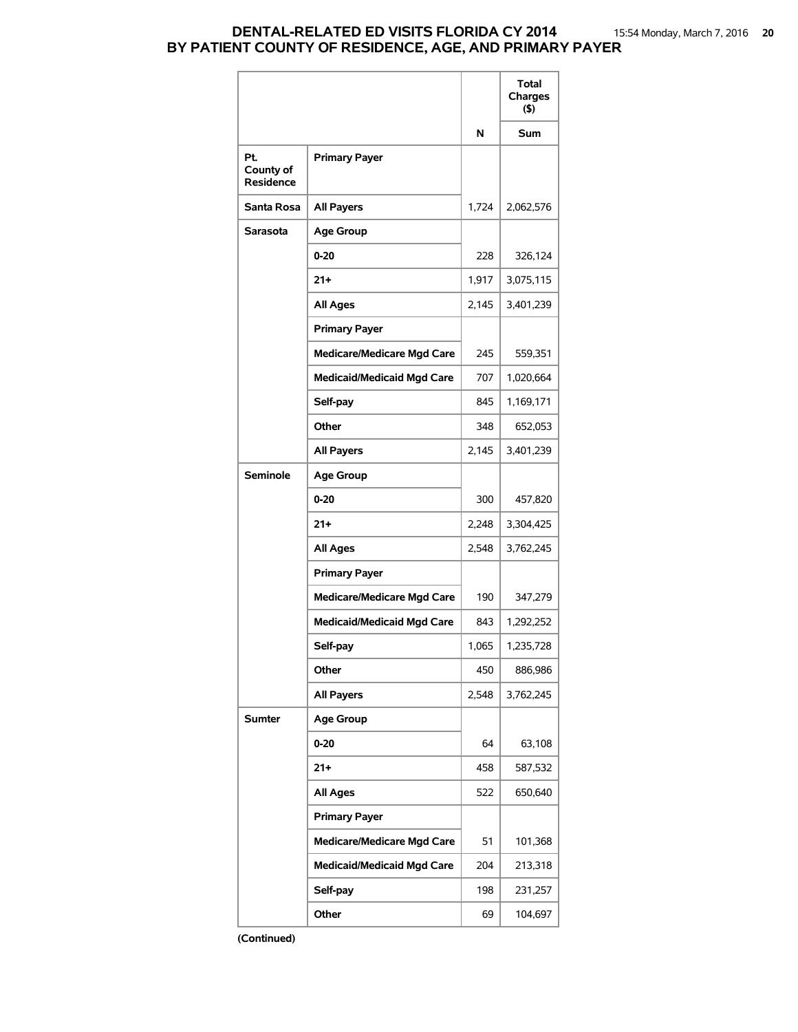## **DENTAL-RELATED ED VISITS FLORIDA CY 2014** 15:54 Monday, March 7, 2016 **20 BY PATIENT COUNTY OF RESIDENCE, AGE, AND PRIMARY PAYER**

|                                      |                                   |       | Total<br>Charges<br>$($ \$) |
|--------------------------------------|-----------------------------------|-------|-----------------------------|
|                                      |                                   | N     | <b>Sum</b>                  |
| Pt.<br>County of<br><b>Residence</b> | <b>Primary Payer</b>              |       |                             |
| Santa Rosa                           | <b>All Payers</b>                 | 1,724 | 2,062,576                   |
| Sarasota                             | <b>Age Group</b>                  |       |                             |
|                                      | $0 - 20$                          | 228   | 326,124                     |
|                                      | $21+$                             | 1,917 | 3,075,115                   |
|                                      | <b>All Ages</b>                   | 2,145 | 3,401,239                   |
|                                      | <b>Primary Payer</b>              |       |                             |
|                                      | <b>Medicare/Medicare Mgd Care</b> | 245   | 559,351                     |
|                                      | <b>Medicaid/Medicaid Mgd Care</b> | 707   | 1,020,664                   |
|                                      | Self-pay                          | 845   | 1,169,171                   |
|                                      | Other                             | 348   | 652,053                     |
|                                      | <b>All Payers</b>                 | 2,145 | 3,401,239                   |
| <b>Seminole</b>                      | <b>Age Group</b>                  |       |                             |
|                                      | $0 - 20$                          | 300   | 457,820                     |
|                                      | $21+$                             | 2,248 | 3,304,425                   |
|                                      | <b>All Ages</b>                   | 2,548 | 3,762,245                   |
|                                      | <b>Primary Payer</b>              |       |                             |
|                                      | <b>Medicare/Medicare Mgd Care</b> | 190   | 347,279                     |
|                                      | <b>Medicaid/Medicaid Mgd Care</b> | 843   | 1,292,252                   |
|                                      | Self-pay                          | 1,065 | 1,235,728                   |
|                                      | Other                             | 450   | 886,986                     |
|                                      | <b>All Payers</b>                 | 2,548 | 3,762,245                   |
| Sumter                               | <b>Age Group</b>                  |       |                             |
|                                      | 0-20                              | 64    | 63,108                      |
|                                      | $21 +$                            | 458   | 587,532                     |
|                                      | <b>All Ages</b>                   | 522   | 650,640                     |
|                                      | <b>Primary Payer</b>              |       |                             |
|                                      | <b>Medicare/Medicare Mgd Care</b> | 51    | 101,368                     |
|                                      | <b>Medicaid/Medicaid Mgd Care</b> | 204   | 213,318                     |
|                                      | Self-pay                          | 198   | 231,257                     |
|                                      | Other                             | 69    | 104,697                     |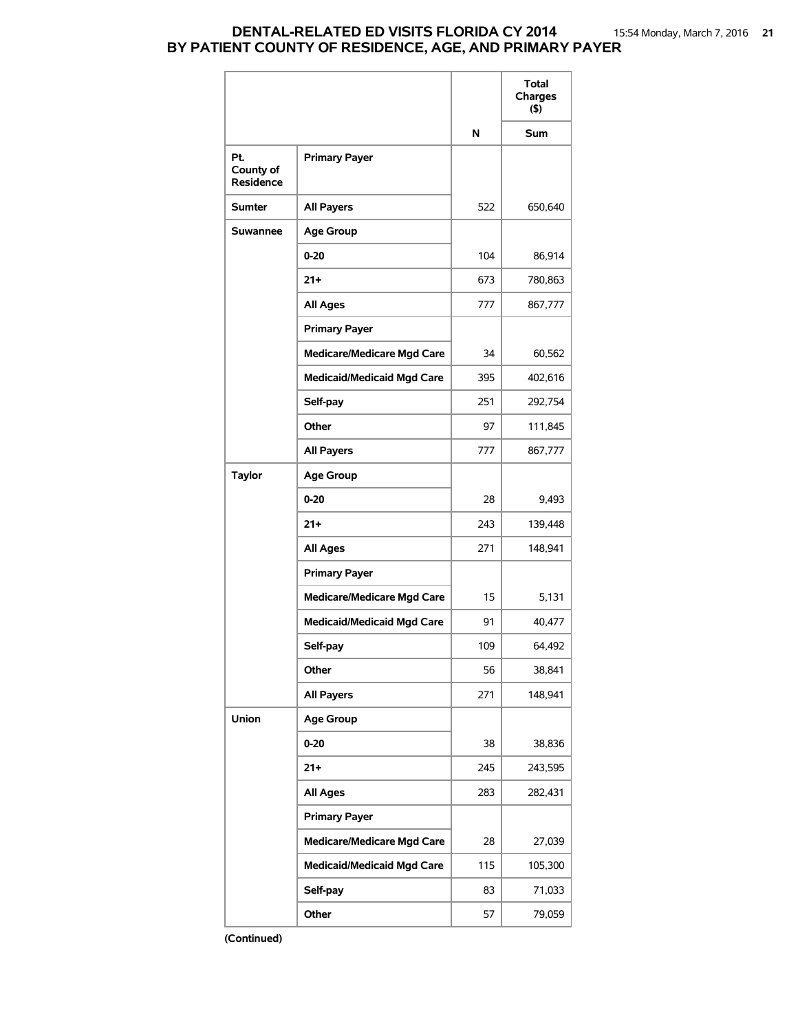### **DENTAL-RELATED ED VISITS FLORIDA CY 2014** 15:54 Monday, March 7, 2016 **21 BY PATIENT COUNTY OF RESIDENCE, AGE, AND PRIMARY PAYER**

|                                      |                                   |     | Total<br>Charges<br>(5) |
|--------------------------------------|-----------------------------------|-----|-------------------------|
|                                      |                                   | N   | Sum                     |
| Pt.<br>County of<br><b>Residence</b> | <b>Primary Payer</b>              |     |                         |
| <b>Sumter</b>                        | <b>All Payers</b>                 | 522 | 650,640                 |
| <b>Suwannee</b>                      | <b>Age Group</b>                  |     |                         |
|                                      | $0 - 20$                          | 104 | 86,914                  |
|                                      | $21+$                             | 673 | 780,863                 |
|                                      | <b>All Ages</b>                   | 777 | 867,777                 |
|                                      | <b>Primary Payer</b>              |     |                         |
|                                      | <b>Medicare/Medicare Mgd Care</b> | 34  | 60,562                  |
|                                      | <b>Medicaid/Medicaid Mgd Care</b> | 395 | 402,616                 |
|                                      | Self-pay                          | 251 | 292,754                 |
|                                      | Other                             | 97  | 111,845                 |
|                                      | <b>All Payers</b>                 | 777 | 867,777                 |
| <b>Taylor</b>                        | <b>Age Group</b>                  |     |                         |
|                                      | $0 - 20$                          | 28  | 9,493                   |
|                                      | $21 +$                            | 243 | 139,448                 |
|                                      | All Ages                          | 271 | 148,941                 |
|                                      | <b>Primary Payer</b>              |     |                         |
|                                      | <b>Medicare/Medicare Mgd Care</b> | 15  | 5,131                   |
|                                      | <b>Medicaid/Medicaid Mgd Care</b> | 91  | 40,477                  |
|                                      | Self-pay                          | 109 | 64,492                  |
|                                      | Other                             | 56  | 38,841                  |
|                                      | <b>All Payers</b>                 | 271 | 148,941                 |
| Union                                | <b>Age Group</b>                  |     |                         |
|                                      | $0 - 20$                          | 38  | 38,836                  |
|                                      | $21 +$                            | 245 | 243,595                 |
|                                      | <b>All Ages</b>                   | 283 | 282,431                 |
|                                      | <b>Primary Payer</b>              |     |                         |
|                                      | <b>Medicare/Medicare Mgd Care</b> | 28  | 27,039                  |
|                                      | <b>Medicaid/Medicaid Mgd Care</b> | 115 | 105,300                 |
|                                      | Self-pay                          | 83  | 71,033                  |
|                                      | Other                             | 57  | 79,059                  |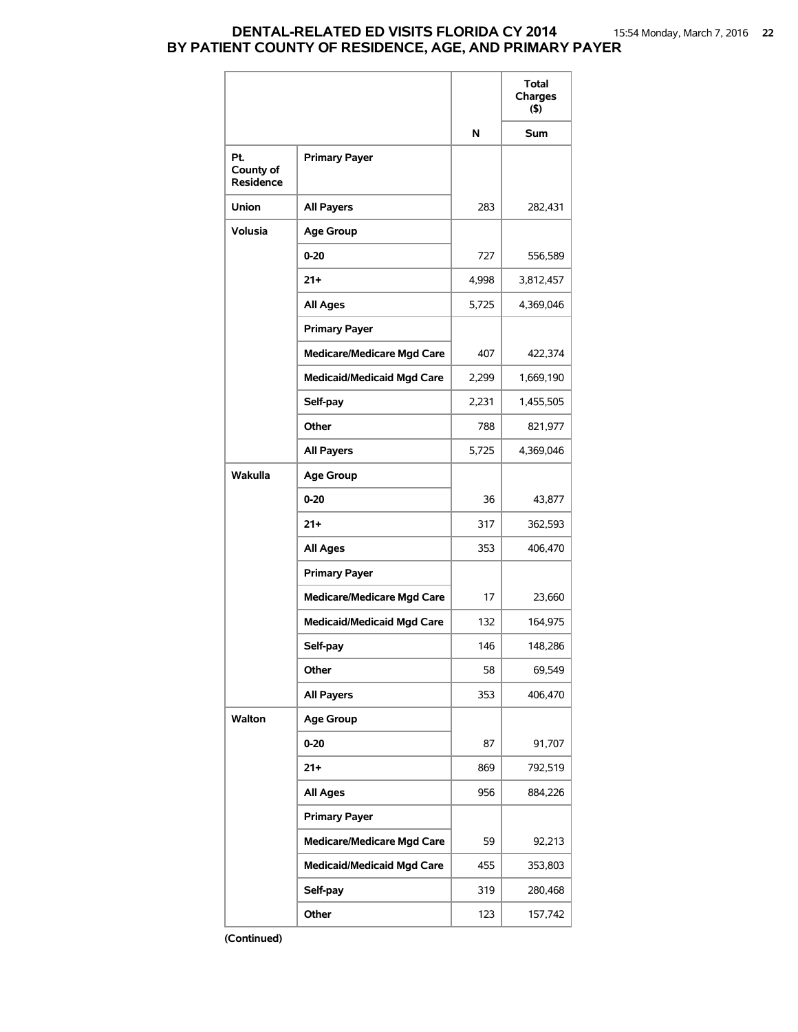### **DENTAL-RELATED ED VISITS FLORIDA CY 2014** 15:54 Monday, March 7, 2016 **22 BY PATIENT COUNTY OF RESIDENCE, AGE, AND PRIMARY PAYER**

|                                      |                                   |       | Total<br>Charges<br>(5) |
|--------------------------------------|-----------------------------------|-------|-------------------------|
|                                      |                                   | N     | Sum                     |
| Pt.<br>County of<br><b>Residence</b> | <b>Primary Payer</b>              |       |                         |
| <b>Union</b>                         | <b>All Payers</b>                 | 283   | 282,431                 |
| <b>Volusia</b>                       | <b>Age Group</b>                  |       |                         |
|                                      | $0 - 20$                          | 727   | 556,589                 |
|                                      | $21+$                             | 4,998 | 3,812,457               |
|                                      | <b>All Ages</b>                   | 5,725 | 4,369,046               |
|                                      | <b>Primary Payer</b>              |       |                         |
|                                      | <b>Medicare/Medicare Mgd Care</b> | 407   | 422,374                 |
|                                      | <b>Medicaid/Medicaid Mgd Care</b> | 2,299 | 1,669,190               |
|                                      | Self-pay                          | 2,231 | 1,455,505               |
|                                      | Other                             | 788   | 821,977                 |
|                                      | <b>All Payers</b>                 | 5,725 | 4,369,046               |
| Wakulla                              | <b>Age Group</b>                  |       |                         |
|                                      | $0 - 20$                          | 36    | 43,877                  |
|                                      | $21 +$                            | 317   | 362,593                 |
|                                      | All Ages                          | 353   | 406,470                 |
|                                      | <b>Primary Payer</b>              |       |                         |
|                                      | <b>Medicare/Medicare Mgd Care</b> | 17    | 23,660                  |
|                                      | <b>Medicaid/Medicaid Mgd Care</b> | 132   | 164,975                 |
|                                      | Self-pay                          | 146   | 148,286                 |
|                                      | Other                             | 58    | 69,549                  |
|                                      | <b>All Payers</b>                 | 353   | 406,470                 |
| Walton                               | <b>Age Group</b>                  |       |                         |
|                                      | $0 - 20$                          | 87    | 91,707                  |
|                                      | $21 +$                            | 869   | 792,519                 |
|                                      | <b>All Ages</b>                   | 956   | 884,226                 |
|                                      | <b>Primary Payer</b>              |       |                         |
|                                      | <b>Medicare/Medicare Mgd Care</b> | 59    | 92,213                  |
|                                      | <b>Medicaid/Medicaid Mgd Care</b> | 455   | 353,803                 |
|                                      | Self-pay                          | 319   | 280,468                 |
|                                      | Other                             | 123   | 157,742                 |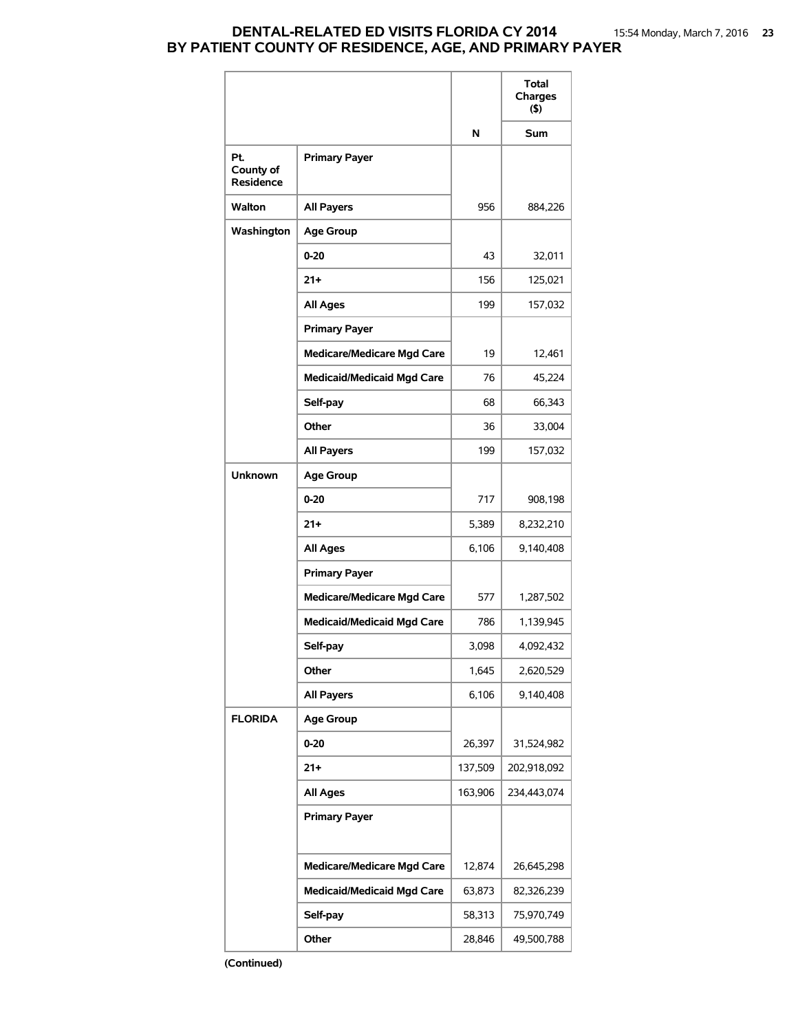# **DENTAL-RELATED ED VISITS FLORIDA CY 2014** 15:54 Monday, March 7, 2016 **23 BY PATIENT COUNTY OF RESIDENCE, AGE, AND PRIMARY PAYER**

|                                      |                                   |         | Total<br>Charges<br>$($ \$) |
|--------------------------------------|-----------------------------------|---------|-----------------------------|
|                                      |                                   | N       | <b>Sum</b>                  |
| Pt.<br>County of<br><b>Residence</b> | <b>Primary Payer</b>              |         |                             |
| <b>Walton</b>                        | <b>All Payers</b>                 | 956     | 884,226                     |
| Washington                           | <b>Age Group</b>                  |         |                             |
|                                      | $0 - 20$                          | 43      | 32,011                      |
|                                      | $21+$                             | 156     | 125,021                     |
|                                      | <b>All Ages</b>                   | 199     | 157,032                     |
|                                      | <b>Primary Payer</b>              |         |                             |
|                                      | <b>Medicare/Medicare Mgd Care</b> | 19      | 12,461                      |
|                                      | <b>Medicaid/Medicaid Mgd Care</b> | 76      | 45,224                      |
|                                      | Self-pay                          | 68      | 66,343                      |
|                                      | Other                             | 36      | 33,004                      |
|                                      | <b>All Payers</b>                 | 199     | 157,032                     |
| <b>Unknown</b>                       | <b>Age Group</b>                  |         |                             |
|                                      | $0 - 20$                          | 717     | 908,198                     |
|                                      | $21 +$                            | 5,389   | 8,232,210                   |
|                                      | All Ages                          | 6,106   | 9,140,408                   |
|                                      | <b>Primary Payer</b>              |         |                             |
|                                      | <b>Medicare/Medicare Mgd Care</b> | 577     | 1,287,502                   |
|                                      | <b>Medicaid/Medicaid Mgd Care</b> | 786     | 1,139,945                   |
|                                      | Self-pay                          | 3,098   | 4,092,432                   |
|                                      | Other                             | 1,645   | 2,620,529                   |
|                                      | <b>All Payers</b>                 | 6,106   | 9,140,408                   |
| <b>FLORIDA</b>                       | <b>Age Group</b>                  |         |                             |
|                                      | $0 - 20$                          | 26,397  | 31,524,982                  |
|                                      | $21 +$                            | 137,509 | 202,918,092                 |
|                                      | All Ages                          | 163,906 | 234,443,074                 |
|                                      | <b>Primary Payer</b>              |         |                             |
|                                      | <b>Medicare/Medicare Mgd Care</b> | 12,874  | 26,645,298                  |
|                                      | <b>Medicaid/Medicaid Mgd Care</b> | 63,873  | 82,326,239                  |
|                                      | Self-pay                          | 58,313  | 75,970,749                  |
|                                      | Other                             | 28,846  | 49,500,788                  |